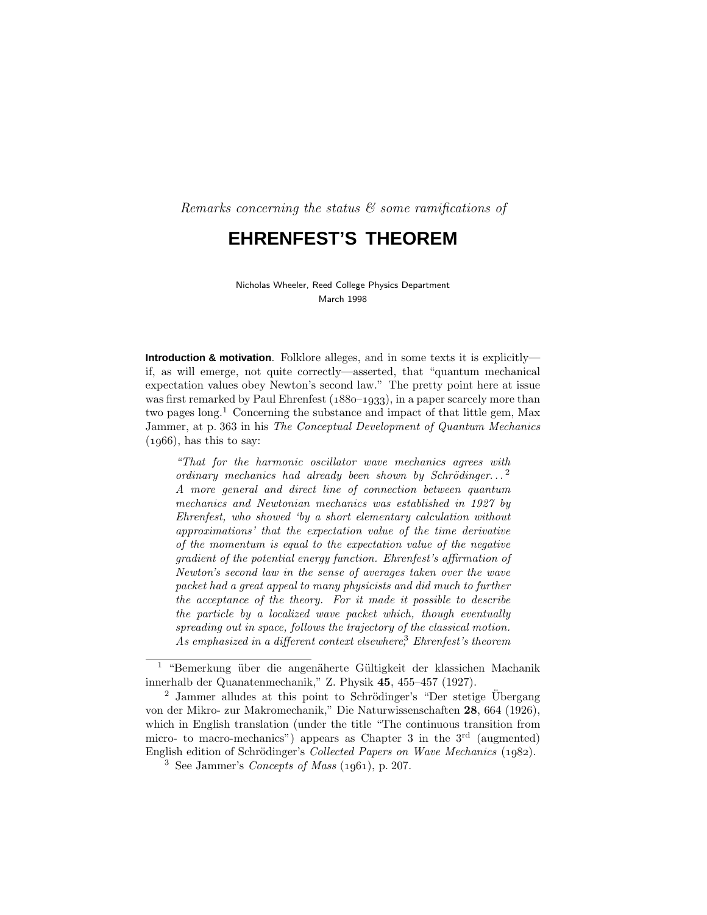Remarks concerning the status  $\mathcal C$  some ramifications of

# **EHRENFEST'S THEOREM**

Nicholas Wheeler, Reed College Physics Department March 1998

**Introduction & motivation**. Folklore alleges, and in some texts it is explicitly if, as will emerge, not quite correctly—asserted, that "quantum mechanical expectation values obey Newton's second law." The pretty point here at issue was first remarked by Paul Ehrenfest  $(1880-1933)$ , in a paper scarcely more than two pages long.<sup>1</sup> Concerning the substance and impact of that little gem, Max Jammer, at p. 363 in his The Conceptual Development of Quantum Mechanics  $(1966)$ , has this to say:

"That for the harmonic oscillator wave mechanics agrees with ordinary mechanics had already been shown by Schrödinger...<sup>2</sup> A more general and direct line of connection between quantum mechanics and Newtonian mechanics was established in 1927 by Ehrenfest, who showed 'by a short elementary calculation without approximations' that the expectation value of the time derivative of the momentum is equal to the expectation value of the negative gradient of the potential energy function. Ehrenfest's affirmation of Newton's second law in the sense of averages taken over the wave packet had a great appeal to many physicists and did much to further the acceptance of the theory. For it made it possible to describe the particle by a localized wave packet which, though eventually spreading out in space, follows the trajectory of the classical motion. As emphasized in a different context elsewhere, $3$  Ehrenfest's theorem

<sup>&</sup>lt;sup>1</sup> "Bemerkung über die angenäherte Gültigkeit der klassichen Machanik innerhalb der Quanatenmechanik," Z. Physik **45**, 455–457 (1927).

<sup>&</sup>lt;sup>2</sup> Jammer alludes at this point to Schrödinger's "Der stetige Übergang" von der Mikro- zur Makromechanik," Die Naturwissenschaften **28**, 664 (1926), which in English translation (under the title "The continuous transition from micro- to macro-mechanics") appears as Chapter 3 in the  $3<sup>rd</sup>$  (augmented) English edition of Schrödinger's Collected Papers on Wave Mechanics (1982).

<sup>&</sup>lt;sup>3</sup> See Jammer's *Concepts of Mass*  $(1961)$ , p. 207.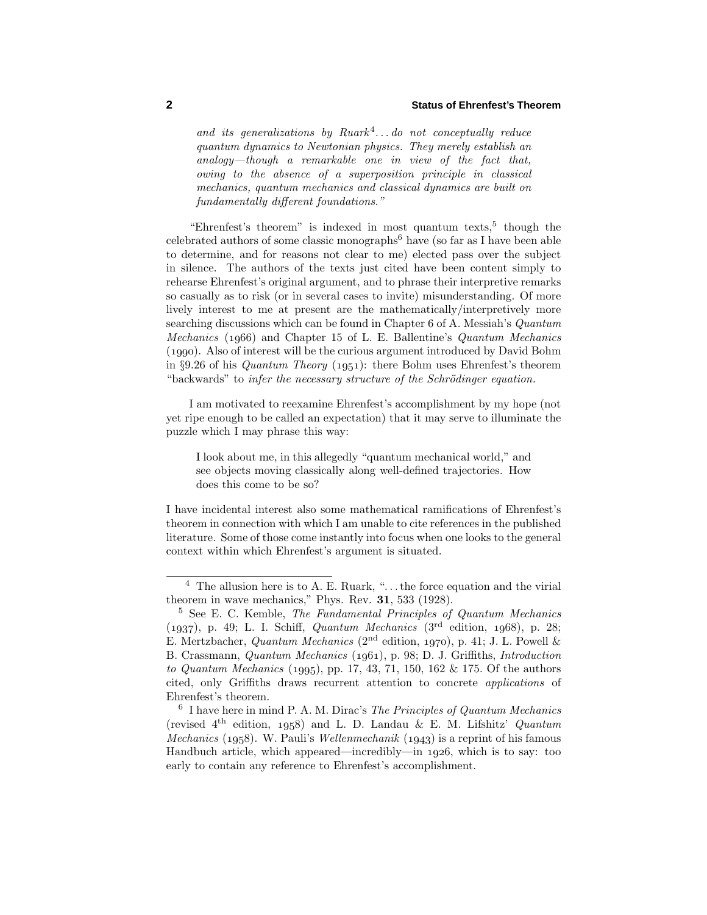and its generalizations by  $Rmark^4...$  do not conceptually reduce quantum dynamics to Newtonian physics. They merely establish an analogy—though a remarkable one in view of the fact that, owing to the absence of a superposition principle in classical mechanics, quantum mechanics and classical dynamics are built on fundamentally different foundations."

"Ehrenfest's theorem" is indexed in most quantum texts, $5$  though the celebrated authors of some classic monographs<sup>6</sup> have (so far as I have been able to determine, and for reasons not clear to me) elected pass over the subject in silence. The authors of the texts just cited have been content simply to rehearse Ehrenfest's original argument, and to phrase their interpretive remarks so casually as to risk (or in several cases to invite) misunderstanding. Of more lively interest to me at present are the mathematically/interpretively more searching discussions which can be found in Chapter 6 of A. Messiah's Quantum Mechanics (1966) and Chapter 15 of L. E. Ballentine's  $Quantum \ Mechanics$ (). Also of interest will be the curious argument introduced by David Bohm in §9.26 of his *Quantum Theory* (1951): there Bohm uses Ehrenfest's theorem "backwards" to infer the necessary structure of the Schrödinger equation.

I am motivated to reexamine Ehrenfest's accomplishment by my hope (not yet ripe enough to be called an expectation) that it may serve to illuminate the puzzle which I may phrase this way:

I look about me, in this allegedly "quantum mechanical world," and see objects moving classically along well-defined trajectories. How does this come to be so?

I have incidental interest also some mathematical ramifications of Ehrenfest's theorem in connection with which I am unable to cite references in the published literature. Some of those come instantly into focus when one looks to the general context within which Ehrenfest's argument is situated.

<sup>4</sup> The allusion here is to A. E. Ruark, "*...*the force equation and the virial theorem in wave mechanics," Phys. Rev. **31**, 533 (1928).

<sup>5</sup> See E. C. Kemble, The Fundamental Principles of Quantum Mechanics  $(1937)$ , p. 49; L. I. Schiff, *Quantum Mechanics* (3<sup>rd</sup> edition, 1968), p. 28; E. Mertzbacher, Quantum Mechanics ( $2<sup>nd</sup>$  edition, 1970), p. 41; J. L. Powell & B. Crassmann, *Quantum Mechanics* (1961), p. 98; D. J. Griffiths, *Introduction* to Quantum Mechanics  $(1995)$ , pp. 17, 43, 71, 150, 162 & 175. Of the authors cited, only Griffiths draws recurrent attention to concrete applications of Ehrenfest's theorem.

 $6$  I have here in mind P. A. M. Dirac's The Principles of Quantum Mechanics (revised  $4<sup>th</sup>$  edition, 1958) and L. D. Landau & E. M. Lifshitz' Quantum *Mechanics* (1958). W. Pauli's *Wellenmechanik* (1943) is a reprint of his famous Handbuch article, which appeared—incredibly—in 1926, which is to say: too early to contain any reference to Ehrenfest's accomplishment.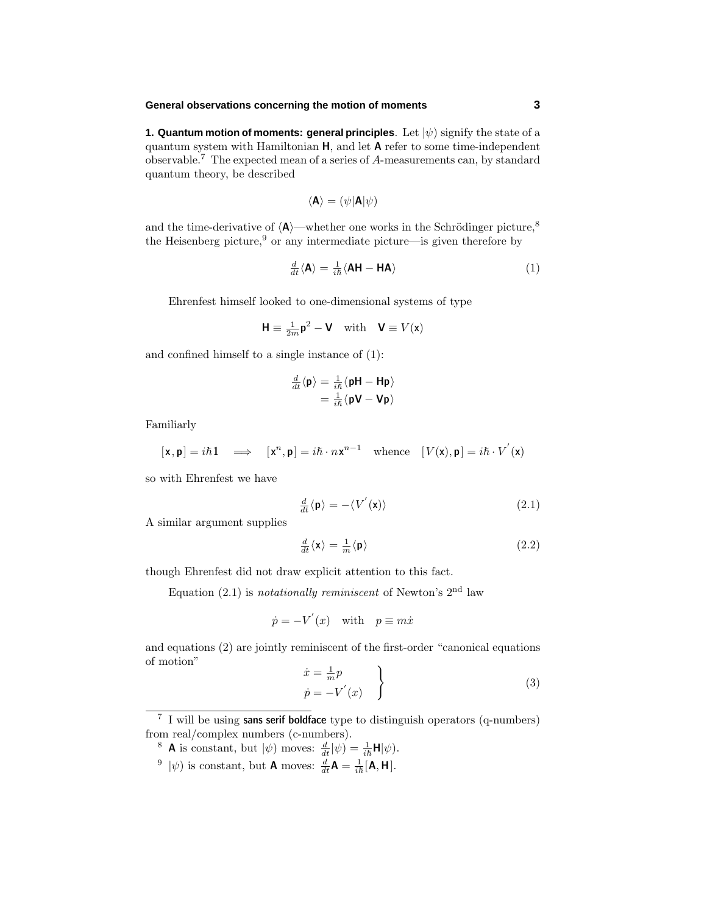#### **General observations concerning the motion of moments 3**

**1. Quantum motion of moments: general principles**. Let |*ψ*) signify the state of a quantum system with Hamiltonian **H**, and let **A** refer to some time-independent observable.<sup>7</sup> The expected mean of a series of *A*-measurements can, by standard quantum theory, be described

$$
\langle \mathbf{A} \rangle = (\psi | \mathbf{A} | \psi)
$$

and the time-derivative of  $\langle A \rangle$ —whether one works in the Schrödinger picture,<sup>8</sup> the Heisenberg picture,<sup>9</sup> or any intermediate picture—is given therefore by

$$
\frac{d}{dt}\langle \mathbf{A}\rangle = \frac{1}{i\hbar}\langle \mathbf{A}\mathbf{H} - \mathbf{H}\mathbf{A}\rangle \tag{1}
$$

Ehrenfest himself looked to one-dimensional systems of type

$$
\mathbf{H} \equiv \frac{1}{2m} \mathbf{p}^2 - \mathbf{V} \quad \text{with} \quad \mathbf{V} \equiv V(\mathbf{x})
$$

and confined himself to a single instance of (1):

$$
\frac{d}{dt}\langle \mathbf{p} \rangle = \frac{1}{i\hbar} \langle \mathbf{p} \mathbf{H} - \mathbf{H} \mathbf{p} \rangle \n= \frac{1}{i\hbar} \langle \mathbf{p} \mathbf{V} - \mathbf{V} \mathbf{p} \rangle
$$

Familiarly

$$
[\mathbf{x}, \mathbf{p}] = i\hbar \mathbf{1} \implies [\mathbf{x}^n, \mathbf{p}] = i\hbar \cdot n\mathbf{x}^{n-1} \text{ whence } [V(\mathbf{x}), \mathbf{p}] = i\hbar \cdot V^{'}(\mathbf{x})
$$

so with Ehrenfest we have

$$
\frac{d}{dt}\langle \mathbf{p}\rangle = -\langle V'(\mathbf{x})\rangle \tag{2.1}
$$

A similar argument supplies

$$
\frac{d}{dt}\langle \mathbf{x}\rangle = \frac{1}{m}\langle \mathbf{p}\rangle
$$
\n(2.2)

though Ehrenfest did not draw explicit attention to this fact.

Equation  $(2.1)$  is *notationally reminiscent* of Newton's  $2<sup>nd</sup>$  law

$$
\dot{p} = -V'(x) \quad \text{with} \quad p \equiv m\dot{x}
$$

and equations (2) are jointly reminiscent of the first-order "canonical equations of motion"

$$
\begin{aligned}\n\dot{x} &= \frac{1}{m}p \\
\dot{p} &= -V'(x)\n\end{aligned}
$$
\n(3)

- <sup>8</sup> **A** is constant, but  $|\psi\rangle$  moves:  $\frac{d}{dt}|\psi\rangle = \frac{1}{i\hbar}H|\psi\rangle$ .
- <sup>9</sup>  $|\psi\rangle$  is constant, but **A** moves:  $\frac{d}{dt}\mathbf{A} = \frac{1}{i\hbar}[\mathbf{A}, \mathbf{H}].$

<sup>7</sup> I will be using **sans serif boldface** type to distinguish operators (q-numbers) from real/complex numbers (c-numbers).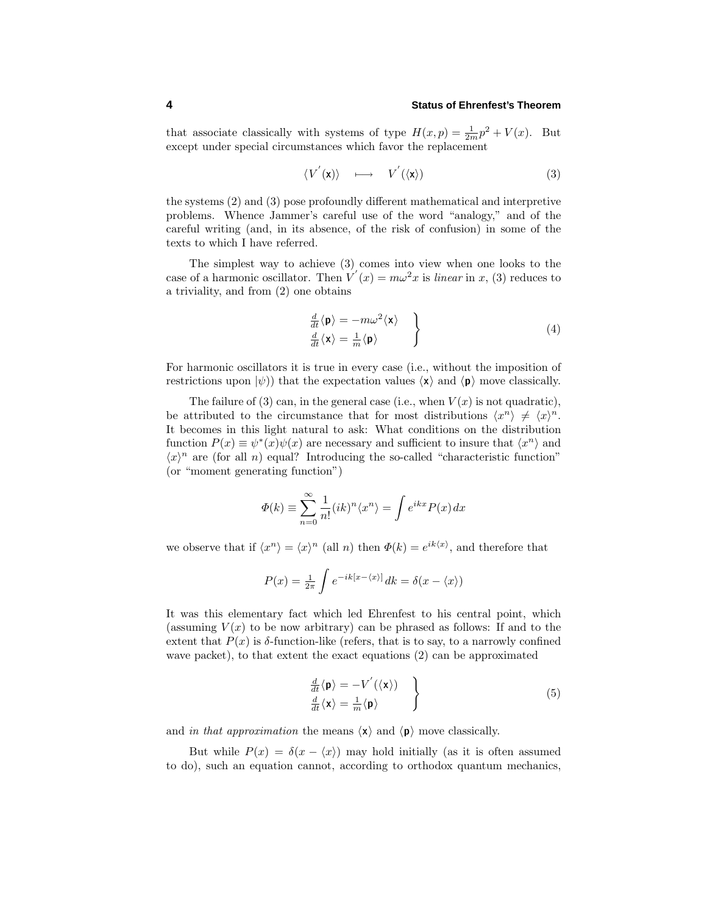that associate classically with systems of type  $H(x,p) = \frac{1}{2m}p^2 + V(x)$ . But except under special circumstances which favor the replacement

$$
\langle V^{'}(\mathbf{x}) \rangle \quad \longmapsto \quad V^{'}(\langle \mathbf{x} \rangle) \tag{3}
$$

the systems (2) and (3) pose profoundly different mathematical and interpretive problems. Whence Jammer's careful use of the word "analogy," and of the careful writing (and, in its absence, of the risk of confusion) in some of the texts to which I have referred.

The simplest way to achieve (3) comes into view when one looks to the case of a harmonic oscillator. Then  $V'(x) = m\omega^2 x$  is *linear* in *x*, (3) reduces to a triviality, and from (2) one obtains

$$
\frac{\frac{d}{dt}\langle \mathbf{p} \rangle = -m\omega^2 \langle \mathbf{x} \rangle}{\frac{d}{dt}\langle \mathbf{x} \rangle = \frac{1}{m}\langle \mathbf{p} \rangle} \tag{4}
$$

For harmonic oscillators it is true in every case (i.e., without the imposition of restrictions upon  $|\psi\rangle$ ) that the expectation values  $\langle \mathbf{x} \rangle$  and  $\langle \mathbf{p} \rangle$  move classically.

The failure of (3) can, in the general case (i.e., when  $V(x)$  is not quadratic), be attributed to the circumstance that for most distributions  $\langle x^n \rangle \neq \langle x \rangle^n$ . It becomes in this light natural to ask: What conditions on the distribution function  $P(x) \equiv \psi^*(x)\psi(x)$  are necessary and sufficient to insure that  $\langle x^n \rangle$  and  $\langle x \rangle^n$  are (for all *n*) equal? Introducing the so-called "characteristic function" (or "moment generating function")

$$
\Phi(k) \equiv \sum_{n=0}^{\infty} \frac{1}{n!} (ik)^n \langle x^n \rangle = \int e^{ikx} P(x) dx
$$

we observe that if  $\langle x^n \rangle = \langle x \rangle^n$  (all *n*) then  $\Phi(k) = e^{ik \langle x \rangle}$ , and therefore that

$$
P(x) = \frac{1}{2\pi} \int e^{-ik[x-\langle x \rangle]} dk = \delta(x - \langle x \rangle)
$$

It was this elementary fact which led Ehrenfest to his central point, which (assuming  $V(x)$  to be now arbitrary) can be phrased as follows: If and to the extent that  $P(x)$  is  $\delta$ -function-like (refers, that is to say, to a narrowly confined wave packet), to that extent the exact equations (2) can be approximated

$$
\frac{d}{dt}\langle \mathbf{p} \rangle = -V'(\langle \mathbf{x} \rangle) \n\frac{d}{dt}\langle \mathbf{x} \rangle = \frac{1}{m}\langle \mathbf{p} \rangle
$$
\n(5)

and in that approximation the means  $\langle x \rangle$  and  $\langle p \rangle$  move classically.

But while  $P(x) = \delta(x - \langle x \rangle)$  may hold initially (as it is often assumed to do), such an equation cannot, according to orthodox quantum mechanics,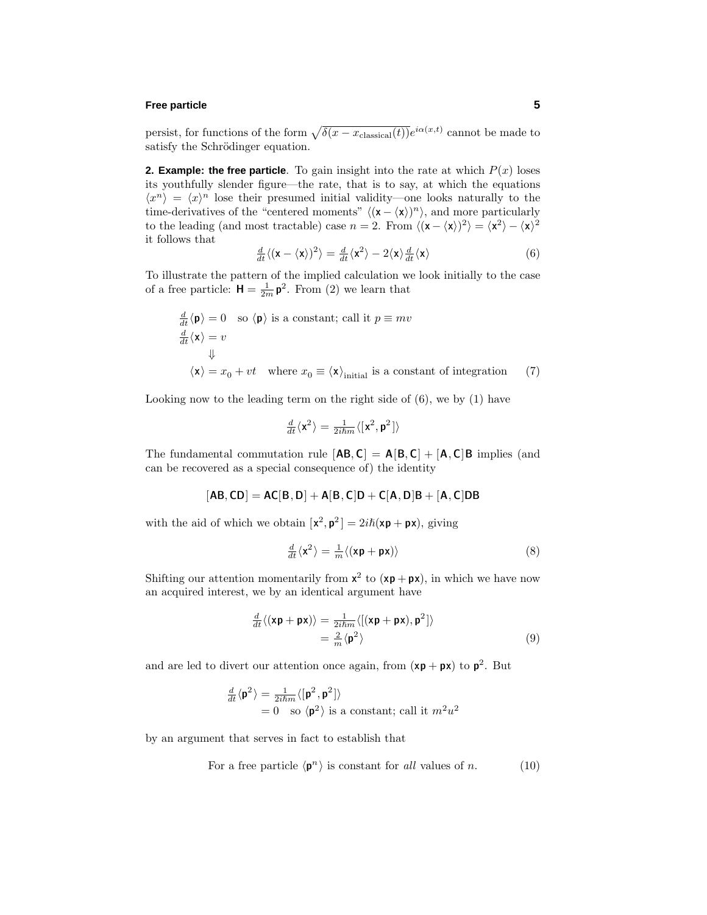#### **Free particle 5**

persist, for functions of the form  $\sqrt{\delta(x - x_{\text{classical}}(t))}e^{i\alpha(x,t)}$  cannot be made to satisfy the Schrödinger equation.

**2. Example: the free particle**. To gain insight into the rate at which  $P(x)$  loses its youthfully slender figure—the rate, that is to say, at which the equations  $\langle x^n \rangle = \langle x \rangle^n$  lose their presumed initial validity—one looks naturally to the time-derivatives of the "centered moments"  $\langle (\mathbf{x} - \langle \mathbf{x} \rangle)^n \rangle$ , and more particularly to the leading (and most tractable) case  $n = 2$ . From  $\langle (\mathbf{x} - \langle \mathbf{x} \rangle)^2 \rangle = \langle \mathbf{x}^2 \rangle - \langle \mathbf{x} \rangle^2$ it follows that

$$
\frac{d}{dt}\langle(\mathbf{x}-\langle\mathbf{x}\rangle)^2\rangle = \frac{d}{dt}\langle\mathbf{x}^2\rangle - 2\langle\mathbf{x}\rangle\frac{d}{dt}\langle\mathbf{x}\rangle\tag{6}
$$

To illustrate the pattern of the implied calculation we look initially to the case of a free particle:  $\mathbf{H} = \frac{1}{2m} \mathbf{p}^2$ . From (2) we learn that

$$
\frac{d}{dt}\langle \mathbf{p} \rangle = 0 \text{ so } \langle \mathbf{p} \rangle \text{ is a constant; call it } p \equiv mv
$$
\n
$$
\frac{d}{dt}\langle \mathbf{x} \rangle = v
$$
\n
$$
\downarrow
$$
\n
$$
\langle \mathbf{x} \rangle = x_0 + vt \text{ where } x_0 \equiv \langle \mathbf{x} \rangle_{\text{initial}} \text{ is a constant of integration } (7)
$$

Looking now to the leading term on the right side of (6), we by (1) have

$$
\tfrac{d}{dt}\langle \mathbf{x}^2\rangle=\tfrac{1}{2i\hslash m}\langle[\mathbf{x}^2,\mathbf{p}^2]\rangle
$$

The fundamental commutation rule  $[AB, C] = A[B, C] + [A, C]B$  implies (and can be recovered as a special consequence of) the identity

$$
[\mathsf{AB},\mathsf{CD}] = \mathsf{AC}[\mathsf{B},\mathsf{D}] + \mathsf{A}[\mathsf{B},\mathsf{C}]\mathsf{D} + \mathsf{C}[\mathsf{A},\mathsf{D}]\mathsf{B} + [\mathsf{A},\mathsf{C}]\mathsf{D}\mathsf{B}
$$

with the aid of which we obtain  $[\mathbf{x}^2, \mathbf{p}^2] = 2i\hbar(\mathbf{x}\mathbf{p} + \mathbf{p}\mathbf{x})$ , giving

$$
\frac{d}{dt}\langle \mathbf{x}^2 \rangle = \frac{1}{m}\langle (\mathbf{x}\mathbf{p} + \mathbf{p}\mathbf{x}) \rangle \tag{8}
$$

Shifting our attention momentarily from  $x^2$  to  $(xp + px)$ , in which we have now an acquired interest, we by an identical argument have

$$
\frac{d}{dt}\langle(\mathbf{x}\mathbf{p}+\mathbf{p}\mathbf{x})\rangle = \frac{1}{2i\hbar m}\langle[(\mathbf{x}\mathbf{p}+\mathbf{p}\mathbf{x}),\mathbf{p}^2]\rangle
$$

$$
=\frac{2}{m}\langle\mathbf{p}^2\rangle
$$
(9)

and are led to divert our attention once again, from  $(\mathbf{xp} + \mathbf{px})$  to  $\mathbf{p}^2$ . But

$$
\frac{d}{dt}\langle \mathbf{p}^2 \rangle = \frac{1}{2i\hbar m} \langle [\mathbf{p}^2, \mathbf{p}^2] \rangle
$$
  
= 0 so  $\langle \mathbf{p}^2 \rangle$  is a constant; call it  $m^2 u^2$ 

by an argument that serves in fact to establish that

For a free particle 
$$
\langle \mathbf{p}^n \rangle
$$
 is constant for all values of n. (10)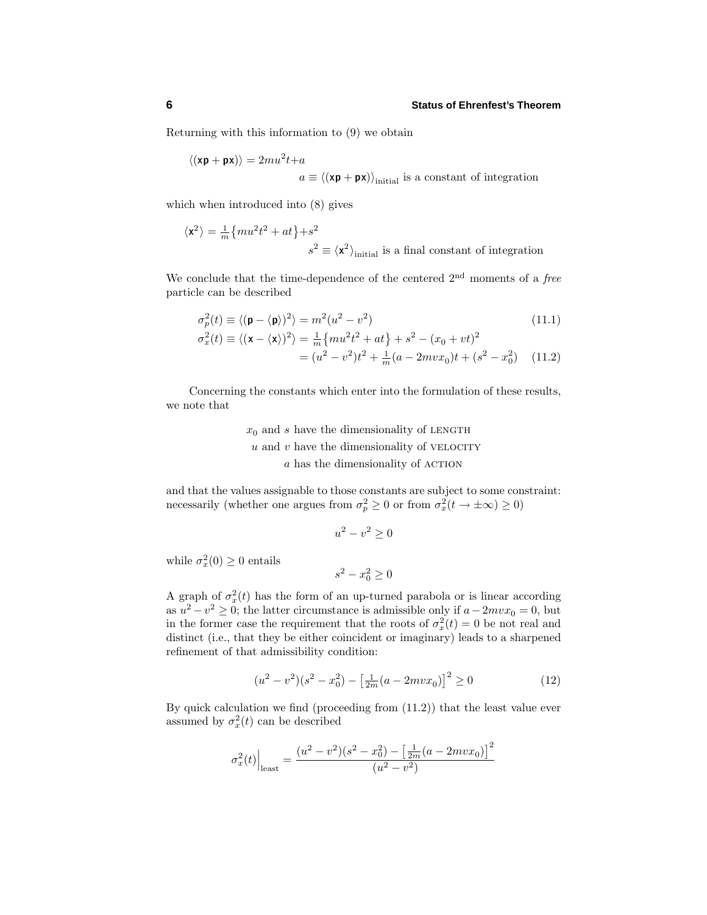Returning with this information to (9) we obtain

$$
\langle (\mathbf{x}\mathbf{p} + \mathbf{p}\mathbf{x}) \rangle = 2mu^2 t + a
$$
  

$$
a \equiv \langle (\mathbf{x}\mathbf{p} + \mathbf{p}\mathbf{x}) \rangle_{\text{initial}} \text{ is a constant of integration}
$$

which when introduced into (8) gives

$$
\langle \mathbf{x}^2 \rangle = \frac{1}{m} \{ m u^2 t^2 + at \} + s^2
$$
  

$$
s^2 \equiv \langle \mathbf{x}^2 \rangle_{\text{initial}} \text{ is a final constant of integration}
$$

We conclude that the time-dependence of the centered  $2<sup>nd</sup>$  moments of a *free* particle can be described

$$
\sigma_p^2(t) \equiv \langle (\mathbf{p} - \langle \mathbf{p} \rangle)^2 \rangle = m^2(u^2 - v^2)
$$
\n(11.1)

$$
\sigma_x^2(t) \equiv \langle (\mathbf{x} - \langle \mathbf{x} \rangle)^2 \rangle = \frac{1}{m} \{ m u^2 t^2 + at \} + s^2 - (x_0 + vt)^2
$$

$$
= (u^2 - v^2)t^2 + \frac{1}{m}(a - 2mvx_0)t + (s^2 - x_0^2) \quad (11.2)
$$

Concerning the constants which enter into the formulation of these results, we note that

> $x<sub>0</sub>$  and *s* have the dimensionality of LENGTH  $u$  and  $v$  have the dimensionality of VELOCITY *a* has the dimensionality of ACTION

and that the values assignable to those constants are subject to some constraint: necessarily (whether one argues from  $\sigma_p^2 \geq 0$  or from  $\sigma_x^2(t \to \pm \infty) \geq 0$ )

$$
u^2 - v^2 \ge 0
$$

while  $\sigma_x^2(0) \geq 0$  entails

 $s^2 - x_0^2 \geq 0$ 

A graph of  $\sigma_x^2(t)$  has the form of an up-turned parabola or is linear according as  $u^2 - v^2 \geq 0$ ; the latter circumstance is admissible only if  $a - 2mvx_0 = 0$ , but in the former case the requirement that the roots of  $\sigma_x^2(t) = 0$  be not real and distinct (i.e., that they be either coincident or imaginary) leads to a sharpened refinement of that admissibility condition:

$$
(u2 - v2)(s2 - x02) - \left[\frac{1}{2m}(a - 2mvx0)\right]2 \ge 0
$$
 (12)

By quick calculation we find (proceeding from (11.2)) that the least value ever assumed by  $\sigma_x^2(t)$  can be described

$$
\sigma_x^2(t) \Big|_{\text{least}} = \frac{(u^2 - v^2)(s^2 - x_0^2) - \left[\frac{1}{2m}(a - 2mvx_0)\right]^2}{(u^2 - v^2)}
$$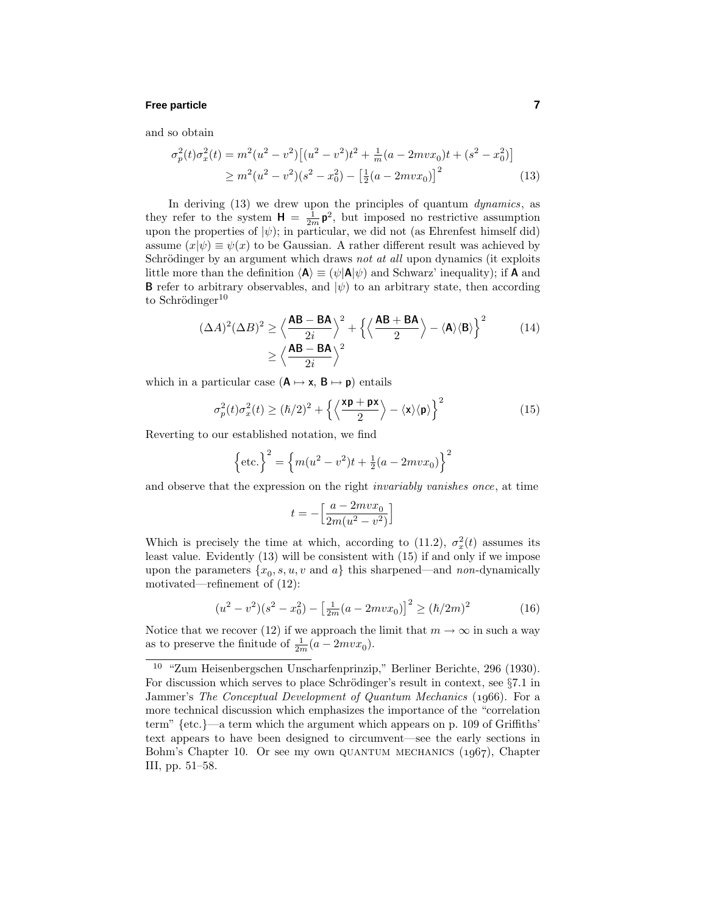### **Free particle 7**

and so obtain

$$
\sigma_p^2(t)\sigma_x^2(t) = m^2(u^2 - v^2) \left[ (u^2 - v^2)t^2 + \frac{1}{m}(a - 2mvx_0)t + (s^2 - x_0^2) \right]
$$
  
 
$$
\geq m^2(u^2 - v^2)(s^2 - x_0^2) - \left[ \frac{1}{2}(a - 2mvx_0) \right]^2
$$
 (13)

In deriving  $(13)$  we drew upon the principles of quantum *dynamics*, as they refer to the system  $H = \frac{1}{2m} p^2$ , but imposed no restrictive assumption upon the properties of  $|\psi\rangle$ ; in particular, we did not (as Ehrenfest himself did) assume  $(x|\psi) \equiv \psi(x)$  to be Gaussian. A rather different result was achieved by Schrödinger by an argument which draws not at all upon dynamics (it exploits little more than the definition  $\langle A \rangle \equiv (\psi | A | \psi)$  and Schwarz' inequality); if **A** and **B** refer to arbitrary observables, and  $|\psi\rangle$  to an arbitrary state, then according to Schrödinger $10$ 

$$
(\Delta A)^2 (\Delta B)^2 \ge \left\langle \frac{\mathbf{AB} - \mathbf{BA}}{2i} \right\rangle^2 + \left\{ \left\langle \frac{\mathbf{AB} + \mathbf{BA}}{2} \right\rangle - \left\langle \mathbf{A} \right\rangle \left\langle \mathbf{B} \right\rangle \right\}^2 \tag{14}
$$

$$
\ge \left\langle \frac{\mathbf{AB} - \mathbf{BA}}{2i} \right\rangle^2
$$

which in a particular case  $(A \rightarrow x, B \rightarrow p)$  entails

$$
\sigma_p^2(t)\sigma_x^2(t) \ge (\hbar/2)^2 + \left\{ \left\langle \frac{\mathbf{x} \mathbf{p} + \mathbf{p} \mathbf{x}}{2} \right\rangle - \left\langle \mathbf{x} \right\rangle \left\langle \mathbf{p} \right\rangle \right\}^2 \tag{15}
$$

Reverting to our established notation, we find

$$
\left\{\text{etc.}\right\}^2 = \left\{m(u^2 - v^2)t + \frac{1}{2}(a - 2mvx_0)\right\}^2
$$

and observe that the expression on the right invariably vanishes once, at time

$$
t=-\Big[\frac{a-2mvx_0}{2m(u^2-v^2)}\Big]
$$

Which is precisely the time at which, according to (11.2),  $\sigma_x^2(t)$  assumes its least value. Evidently (13) will be consistent with (15) if and only if we impose upon the parameters  $\{x_0, s, u, v \text{ and } a\}$  this sharpened—and non-dynamically motivated—refinement of (12):

$$
(u^{2} - v^{2})(s^{2} - x_{0}^{2}) - \left[\frac{1}{2m}(a - 2mvx_{0})\right]^{2} \ge (h/2m)^{2}
$$
 (16)

Notice that we recover (12) if we approach the limit that  $m \to \infty$  in such a way as to preserve the finitude of  $\frac{1}{2m}(a - 2mvx_0)$ .

<sup>10</sup> "Zum Heisenbergschen Unscharfenprinzip," Berliner Berichte, 296 (1930). For discussion which serves to place Schrödinger's result in context, see  $\S 7.1$  in Jammer's The Conceptual Development of Quantum Mechanics (1966). For a more technical discussion which emphasizes the importance of the "correlation term" {etc.}—a term which the argument which appears on p. 109 of Griffiths' text appears to have been designed to circumvent—see the early sections in Bohm's Chapter 10. Or see my own QUANTUM MECHANICS  $(1967)$ , Chapter III, pp. 51–58.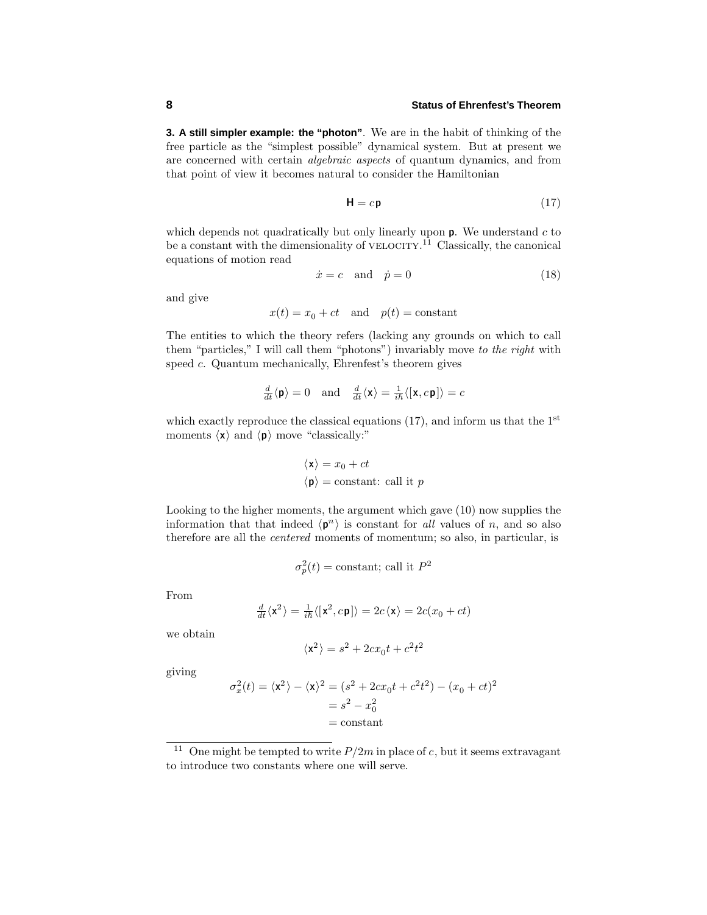**3. A still simpler example: the "photon"**. We are in the habit of thinking of the free particle as the "simplest possible" dynamical system. But at present we are concerned with certain algebraic aspects of quantum dynamics, and from that point of view it becomes natural to consider the Hamiltonian

$$
\mathbf{H} = c\mathbf{p} \tag{17}
$$

which depends not quadratically but only linearly upon **p**. We understand *c* to be a constant with the dimensionality of VELOCITY.<sup>11</sup> Classically, the canonical equations of motion read

$$
\dot{x} = c \quad \text{and} \quad \dot{p} = 0 \tag{18}
$$

and give

$$
x(t) = x_0 + ct
$$
 and  $p(t) = constant$ 

The entities to which the theory refers (lacking any grounds on which to call them "particles," I will call them "photons") invariably move to the right with speed *c*. Quantum mechanically, Ehrenfest's theorem gives

$$
\frac{d}{dt}\langle \mathbf{p} \rangle = 0 \quad \text{and} \quad \frac{d}{dt}\langle \mathbf{x} \rangle = \frac{1}{i\hbar}\langle [\mathbf{x}, c\mathbf{p}] \rangle = c
$$

which exactly reproduce the classical equations  $(17)$ , and inform us that the 1<sup>st</sup> moments  $\langle x \rangle$  and  $\langle p \rangle$  move "classically:"

$$
\langle \mathbf{x} \rangle = x_0 + ct
$$
  

$$
\langle \mathbf{p} \rangle = \text{constant: call it } p
$$

Looking to the higher moments, the argument which gave (10) now supplies the information that that indeed  $\langle \mathbf{p}^n \rangle$  is constant for all values of *n*, and so also therefore are all the *centered* moments of momentum; so also, in particular, is

$$
\sigma_p^2(t)
$$
 = constant; call it  $P^2$ 

From

$$
\tfrac{d}{dt}\langle \mathbf{x}^2 \rangle = \tfrac{1}{i\hbar}\langle[\mathbf{x}^2,c\mathbf{p}]\rangle = 2c\langle \mathbf{x}\rangle = 2c(x_0+ct)
$$

we obtain

$$
\langle \mathbf{x}^2 \rangle = s^2 + 2cx_0t + c^2t^2
$$

giving

$$
\sigma_x^2(t) = \langle \mathbf{x}^2 \rangle - \langle \mathbf{x} \rangle^2 = (s^2 + 2cx_0t + c^2t^2) - (x_0 + ct)^2
$$

$$
= s^2 - x_0^2
$$

$$
= \text{constant}
$$

<sup>&</sup>lt;sup>11</sup> One might be tempted to write  $P/2m$  in place of *c*, but it seems extravagant to introduce two constants where one will serve.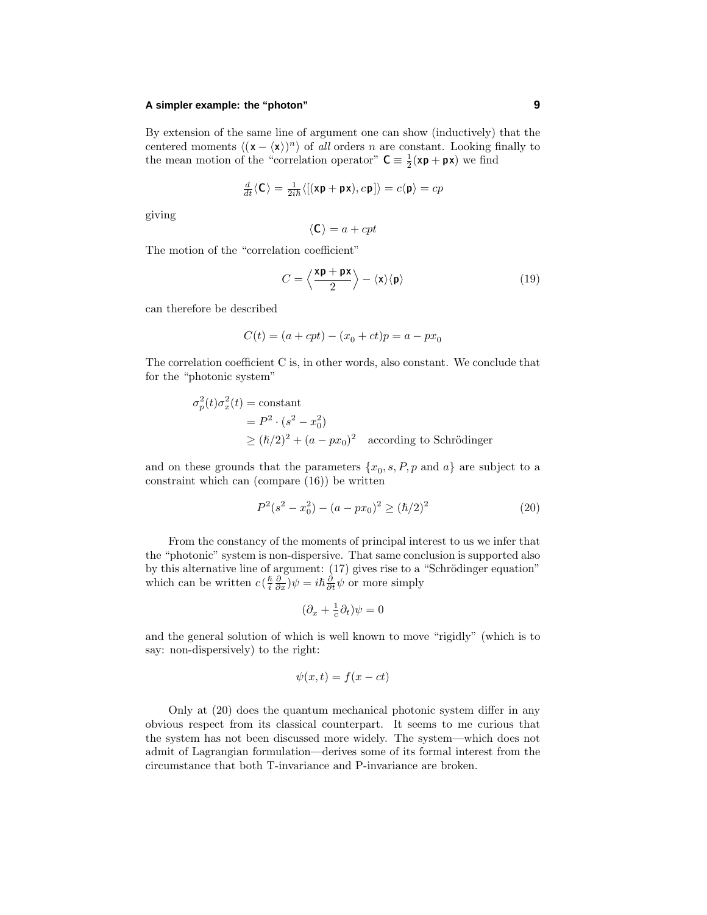#### **A simpler example: the "photon" 9**

By extension of the same line of argument one can show (inductively) that the centered moments  $\langle (x - \langle x \rangle)^n \rangle$  of all orders *n* are constant. Looking finally to the mean motion of the "correlation operator"  $C = \frac{1}{2}(xp + px)$  we find

$$
\frac{d}{dt}\langle \mathbf{C} \rangle = \frac{1}{2i\hbar} \langle [(\mathbf{x}\mathbf{p} + \mathbf{p}\mathbf{x}), c\mathbf{p}] \rangle = c \langle \mathbf{p} \rangle = cp
$$

giving

$$
\langle \mathsf{C} \rangle = a + cpt
$$

The motion of the "correlation coefficient"

$$
C = \left\langle \frac{\mathbf{x}\mathbf{p} + \mathbf{p}\mathbf{x}}{2} \right\rangle - \left\langle \mathbf{x} \right\rangle \left\langle \mathbf{p} \right\rangle \tag{19}
$$

can therefore be described

$$
C(t) = (a + cpt) - (x_0 + ct)p = a - px_0
$$

The correlation coefficient C is, in other words, also constant. We conclude that for the "photonic system"

$$
\sigma_p^2(t)\sigma_x^2(t) = \text{constant}
$$
  
=  $P^2 \cdot (s^2 - x_0^2)$   

$$
\ge (\hbar/2)^2 + (a - px_0)^2 \quad \text{according to Schrödinger}
$$

and on these grounds that the parameters  $\{x_0, s, P, p \text{ and } a\}$  are subject to a constraint which can (compare (16)) be written

$$
P^{2}(s^{2} - x_{0}^{2}) - (a - px_{0})^{2} \ge (\hbar/2)^{2}
$$
 (20)

From the constancy of the moments of principal interest to us we infer that the "photonic" system is non-dispersive. That same conclusion is supported also by this alternative line of argument:  $(17)$  gives rise to a "Schrödinger equation" which can be written  $c\left(\frac{\hbar}{i}\frac{\partial}{\partial x}\right)\psi = i\hbar\frac{\partial}{\partial t}\psi$  or more simply

$$
(\partial_x + \tfrac{1}{c}\partial_t)\psi = 0
$$

and the general solution of which is well known to move "rigidly" (which is to say: non-dispersively) to the right:

$$
\psi(x,t) = f(x - ct)
$$

Only at (20) does the quantum mechanical photonic system differ in any obvious respect from its classical counterpart. It seems to me curious that the system has not been discussed more widely. The system—which does not admit of Lagrangian formulation—derives some of its formal interest from the circumstance that both T-invariance and P-invariance are broken.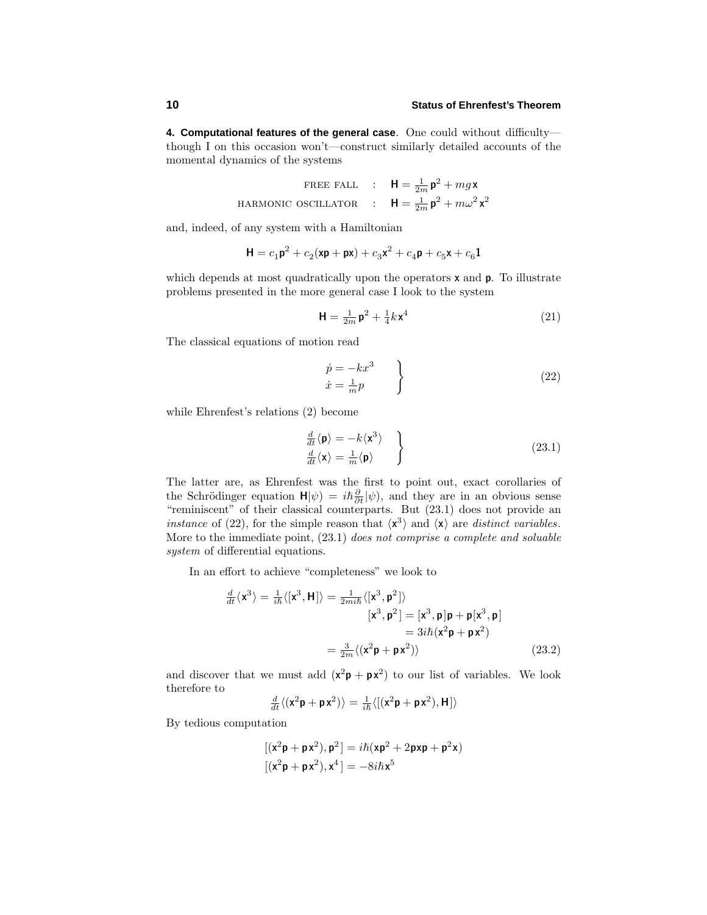**4. Computational features of the general case**. One could without difficulty though I on this occasion won't—construct similarly detailed accounts of the momental dynamics of the systems

> FREE FALL :  $\mathbf{H} = \frac{1}{2m} \mathbf{p}^2 + mg\mathbf{x}$ HARMONIC OSCILLATOR :  $\mathbf{H} = \frac{1}{2m} \mathbf{p}^2 + m\omega^2 \mathbf{x}^2$

and, indeed, of any system with a Hamiltonian

$$
\mathbf{H} = c_1 \mathbf{p}^2 + c_2 (\mathbf{x} \mathbf{p} + \mathbf{p} \mathbf{x}) + c_3 \mathbf{x}^2 + c_4 \mathbf{p} + c_5 \mathbf{x} + c_6 \mathbf{1}
$$

which depends at most quadratically upon the operators **x** and **p**. To illustrate problems presented in the more general case I look to the system

$$
\mathbf{H} = \frac{1}{2m} \mathbf{p}^2 + \frac{1}{4} k \mathbf{x}^4 \tag{21}
$$

The classical equations of motion read

$$
\begin{aligned}\n\dot{p} &= -kx^3 \\
\dot{x} &= \frac{1}{m}p\n\end{aligned}
$$
\n(22)

while Ehrenfest's relations (2) become

$$
\frac{d}{dt}\langle \mathbf{p} \rangle = -k \langle \mathbf{x}^3 \rangle \n\frac{d}{dt}\langle \mathbf{x} \rangle = \frac{1}{m} \langle \mathbf{p} \rangle
$$
\n(23.1)

The latter are, as Ehrenfest was the first to point out, exact corollaries of the Schrödinger equation  $H|\psi\rangle = i\hbar \frac{\partial}{\partial t}|\psi\rangle$ , and they are in an obvious sense "reminiscent" of their classical counterparts. But (23.1) does not provide an instance of (22), for the simple reason that  $\langle x^3 \rangle$  and  $\langle x \rangle$  are distinct variables. More to the immediate point, (23.1) does not comprise a complete and soluable system of differential equations.

In an effort to achieve "completeness" we look to

$$
\frac{d}{dt}\langle \mathbf{x}^3 \rangle = \frac{1}{i\hbar} \langle [\mathbf{x}^3, \mathbf{H}] \rangle = \frac{1}{2mi\hbar} \langle [\mathbf{x}^3, \mathbf{p}^2] \rangle
$$
  
\n
$$
[\mathbf{x}^3, \mathbf{p}^2] = [\mathbf{x}^3, \mathbf{p}] \mathbf{p} + \mathbf{p} [\mathbf{x}^3, \mathbf{p}]
$$
  
\n
$$
= 3i\hbar (\mathbf{x}^2 \mathbf{p} + \mathbf{p} \mathbf{x}^2)
$$
  
\n
$$
= \frac{3}{2m} \langle (\mathbf{x}^2 \mathbf{p} + \mathbf{p} \mathbf{x}^2) \rangle
$$
 (23.2)

and discover that we must add  $(x^2p + px^2)$  to our list of variables. We look therefore to

$$
\frac{d}{dt}\langle(\mathbf{x}^2\mathbf{p}+\mathbf{p}\mathbf{x}^2)\rangle = \frac{1}{i\hbar}\langle[(\mathbf{x}^2\mathbf{p}+\mathbf{p}\mathbf{x}^2),\mathbf{H}]\rangle
$$

By tedious computation

$$
\begin{aligned} \left[ (x^2 \mathsf{p} + \mathsf{p} x^2), \mathsf{p}^2 \right] &= i\hbar(x\mathsf{p}^2 + 2\mathsf{p} x\mathsf{p} + \mathsf{p}^2 x) \\ \left[ (x^2 \mathsf{p} + \mathsf{p} x^2), x^4 \right] &= -8i\hbar x^5 \end{aligned}
$$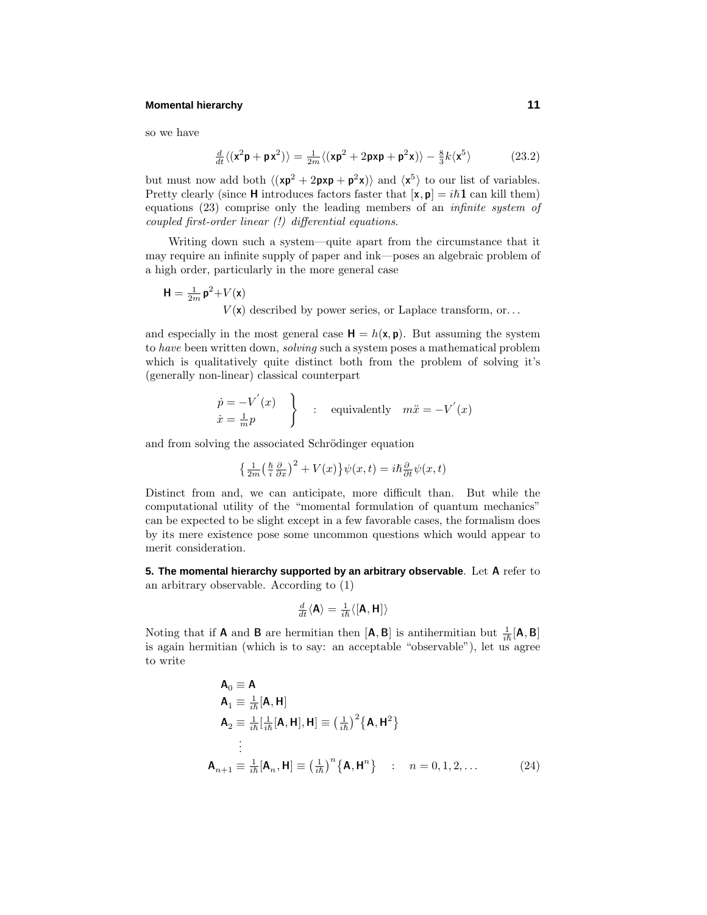#### **Momental hierarchy 11**

so we have

$$
\frac{d}{dt}\langle(\mathbf{x}^2\mathbf{p}+\mathbf{p}\mathbf{x}^2)\rangle = \frac{1}{2m}\langle(\mathbf{x}\mathbf{p}^2+2\mathbf{p}\mathbf{x}\mathbf{p}+\mathbf{p}^2\mathbf{x})\rangle - \frac{8}{3}k\langle\mathbf{x}^5\rangle
$$
 (23.2)

but must now add both  $\langle (xp^2 + 2pxp + p^2x) \rangle$  and  $\langle x^5 \rangle$  to our list of variables. Pretty clearly (since **H** introduces factors faster that  $[\mathbf{x}, \mathbf{p}] = i\hbar \mathbf{1}$  can kill them) equations (23) comprise only the leading members of an infinite system of coupled first-order linear (!) differential equations.

Writing down such a system—quite apart from the circumstance that it may require an infinite supply of paper and ink—poses an algebraic problem of a high order, particularly in the more general case

$$
\mathbf{H} = \frac{1}{2m} \mathbf{p}^2 + V(\mathbf{x})
$$
  
V(\mathbf{x}) described by power series, or Laplace transform, or...

and especially in the most general case  $H = h(x, p)$ . But assuming the system to have been written down, solving such a system poses a mathematical problem which is qualitatively quite distinct both from the problem of solving it's (generally non-linear) classical counterpart

$$
\begin{aligned}\n\dot{p} &= -V'(x) \\
\dot{x} &= \frac{1}{m}p\n\end{aligned}\n\bigg\} \quad : \quad \text{equivalently} \quad m\ddot{x} = -V'(x)
$$

and from solving the associated Schrödinger equation

$$
\left\{\frac{1}{2m}\left(\frac{\hbar}{i}\frac{\partial}{\partial x}\right)^{2} + V(x)\right\}\psi(x,t) = i\hbar\frac{\partial}{\partial t}\psi(x,t)
$$

Distinct from and, we can anticipate, more difficult than. But while the computational utility of the "momental formulation of quantum mechanics" can be expected to be slight except in a few favorable cases, the formalism does by its mere existence pose some uncommon questions which would appear to merit consideration.

**5. The momental hierarchy supported by an arbitrary observable**. Let **A** refer to an arbitrary observable. According to (1)

$$
\tfrac{d}{dt}\langle \mathbf{A}\rangle = \tfrac{1}{i\hslash}\langle \left[\mathbf{A},\mathbf{H}\right]\rangle
$$

Noting that if **A** and **B** are hermitian then  $[A, B]$  is antihermitian but  $\frac{1}{i\hbar}[A, B]$ is again hermitian (which is to say: an acceptable "observable"), let us agree to write

$$
\mathbf{A}_{0} \equiv \mathbf{A} \n\mathbf{A}_{1} \equiv \frac{1}{i\hbar} [\mathbf{A}, \mathbf{H}] \n\mathbf{A}_{2} \equiv \frac{1}{i\hbar} [\frac{1}{i\hbar} [\mathbf{A}, \mathbf{H}], \mathbf{H}] \equiv \left(\frac{1}{i\hbar}\right)^{2} {\mathbf{A}, \mathbf{H}}^{2} \n\vdots \n\mathbf{A}_{n+1} \equiv \frac{1}{i\hbar} [\mathbf{A}_{n}, \mathbf{H}] \equiv \left(\frac{1}{i\hbar}\right)^{n} {\mathbf{A}, \mathbf{H}}^{n} ; \quad n = 0, 1, 2, ...
$$
\n(24)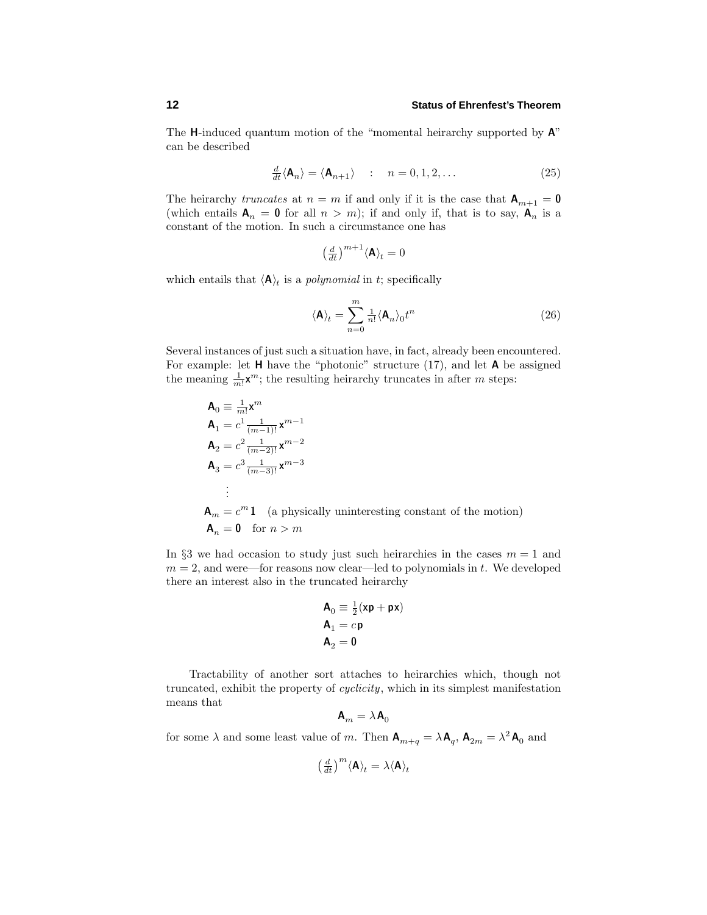The **H**-induced quantum motion of the "momental heirarchy supported by **A**" can be described

$$
\frac{d}{dt} \langle \mathbf{A}_n \rangle = \langle \mathbf{A}_{n+1} \rangle \quad : \quad n = 0, 1, 2, \dots \tag{25}
$$

The heirarchy *truncates* at  $n = m$  if and only if it is the case that  $A_{m+1} = 0$ (which entails  $A_n = 0$  for all  $n > m$ ); if and only if, that is to say,  $A_n$  is a constant of the motion. In such a circumstance one has

$$
\left(\frac{d}{dt}\right)^{m+1} \langle \mathbf{A} \rangle_t = 0
$$

which entails that  $\langle A \rangle_t$  is a *polynomial* in *t*; specifically

$$
\langle \mathbf{A} \rangle_t = \sum_{n=0}^m \frac{1}{n!} \langle \mathbf{A}_n \rangle_0 t^n \tag{26}
$$

Several instances of just such a situation have, in fact, already been encountered. For example: let **H** have the "photonic" structure (17), and let **A** be assigned the meaning  $\frac{1}{m!}$ **x**<sup>*m*</sup>; the resulting heirarchy truncates in after *m* steps:

$$
\mathbf{A}_0 \equiv \frac{1}{m!} \mathbf{x}^m
$$
\n
$$
\mathbf{A}_1 = c^1 \frac{1}{(m-1)!} \mathbf{x}^{m-1}
$$
\n
$$
\mathbf{A}_2 = c^2 \frac{1}{(m-2)!} \mathbf{x}^{m-2}
$$
\n
$$
\mathbf{A}_3 = c^3 \frac{1}{(m-3)!} \mathbf{x}^{m-3}
$$
\n
$$
\vdots
$$
\n
$$
\mathbf{A}_m = c^m \mathbf{1} \quad \text{(a physically uninteresting constant of the motion)}
$$
\n
$$
\mathbf{A}_n = \mathbf{0} \quad \text{for } n > m
$$

In  $\S$ 3 we had occasion to study just such heirarchies in the cases  $m = 1$  and  $m = 2$ , and were—for reasons now clear—led to polynomials in  $t$ . We developed there an interest also in the truncated heirarchy

$$
\begin{array}{l} \mathbf{A}_0 \equiv \frac{1}{2}(\mathbf{x}\mathbf{p} + \mathbf{p}\mathbf{x}) \\ \mathbf{A}_1 = c\mathbf{p} \\ \mathbf{A}_2 = \mathbf{0} \end{array}
$$

Tractability of another sort attaches to heirarchies which, though not truncated, exhibit the property of cyclicity, which in its simplest manifestation means that

$$
\mathbf{A}_m = \lambda \mathbf{A}_0
$$

for some  $\lambda$  and some least value of *m*. Then  $\mathbf{A}_{m+q} = \lambda \mathbf{A}_q$ ,  $\mathbf{A}_{2m} = \lambda^2 \mathbf{A}_0$  and

$$
\left(\tfrac{d}{dt}\right)^m \langle \mathbf{A} \rangle_t = \lambda \langle \mathbf{A} \rangle_t
$$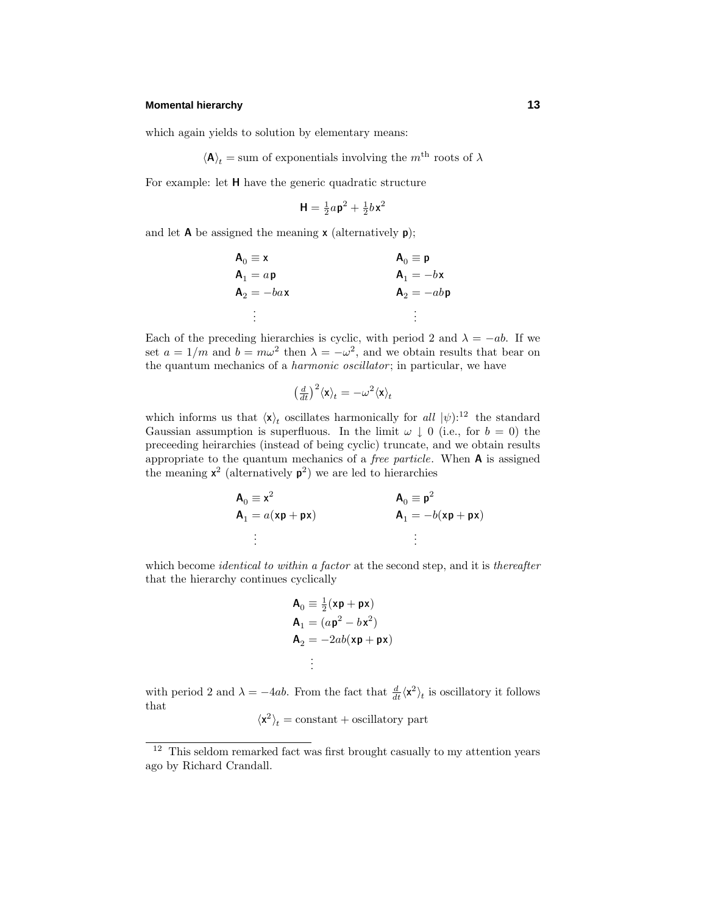#### **Momental hierarchy 13**

which again yields to solution by elementary means:

$$
\langle \mathbf{A} \rangle_t = \text{sum of exponentials involving the } m^{\text{th}} \text{ roots of } \lambda
$$

For example: let **H** have the generic quadratic structure

$$
\mathbf{H} = \frac{1}{2}a\mathbf{p}^2 + \frac{1}{2}b\mathbf{x}^2
$$

and let **A** be assigned the meaning **x** (alternatively **p**);

| $A_0 \equiv x$ | $A_0 \equiv p$ |
|----------------|----------------|
| $A_1 = a p$    | $A_1 = -b$ x   |
| $A_2 = -ba$ x  | $A_2 = -abp$   |
| $\ddot{\cdot}$ | ٠              |

Each of the preceding hierarchies is cyclic, with period 2 and  $\lambda = -ab$ . If we set  $a = 1/m$  and  $b = m\omega^2$  then  $\lambda = -\omega^2$ , and we obtain results that bear on the quantum mechanics of a *harmonic oscillator*; in particular, we have

$$
\big(\tfrac{d}{dt}\big)^2\langle \mathbf{x}\rangle_t=-\omega^2\langle \mathbf{x}\rangle_t
$$

which informs us that  $\langle \mathbf{x} \rangle_t$  oscillates harmonically for all  $|\psi\rangle^{12}$  the standard Gaussian assumption is superfluous. In the limit  $\omega \downarrow 0$  (i.e., for  $b = 0$ ) the preceeding heirarchies (instead of being cyclic) truncate, and we obtain results appropriate to the quantum mechanics of a free particle. When **A** is assigned the meaning  $x^2$  (alternatively  $p^2$ ) we are led to hierarchies

$$
\begin{aligned}\n\mathbf{A}_0 &\equiv \mathbf{x}^2 \\
\mathbf{A}_1 &= a(\mathbf{x}\mathbf{p} + \mathbf{p}\mathbf{x})\n\end{aligned}\n\qquad\n\begin{aligned}\n\mathbf{A}_0 &\equiv \mathbf{p}^2 \\
\mathbf{A}_1 &= -b(\mathbf{x}\mathbf{p} + \mathbf{p}\mathbf{x})\n\end{aligned}
$$
\n
$$
\vdots
$$

which become *identical to within a factor* at the second step, and it is *thereafter* that the hierarchy continues cyclically

$$
\mathbf{A}_0 \equiv \frac{1}{2}(\mathbf{x}\mathbf{p} + \mathbf{p}\mathbf{x})
$$
  
\n
$$
\mathbf{A}_1 = (a\mathbf{p}^2 - b\mathbf{x}^2)
$$
  
\n
$$
\mathbf{A}_2 = -2ab(\mathbf{x}\mathbf{p} + \mathbf{p}\mathbf{x})
$$
  
\n
$$
\vdots
$$

with period 2 and  $\lambda = -4ab$ . From the fact that  $\frac{d}{dt}\langle \mathbf{x}^2 \rangle_t$  is oscillatory it follows that

$$
\langle \mathbf{x}^2 \rangle_t = \text{constant} + \text{oscillatory part}
$$

 $12$  This seldom remarked fact was first brought casually to my attention years ago by Richard Crandall.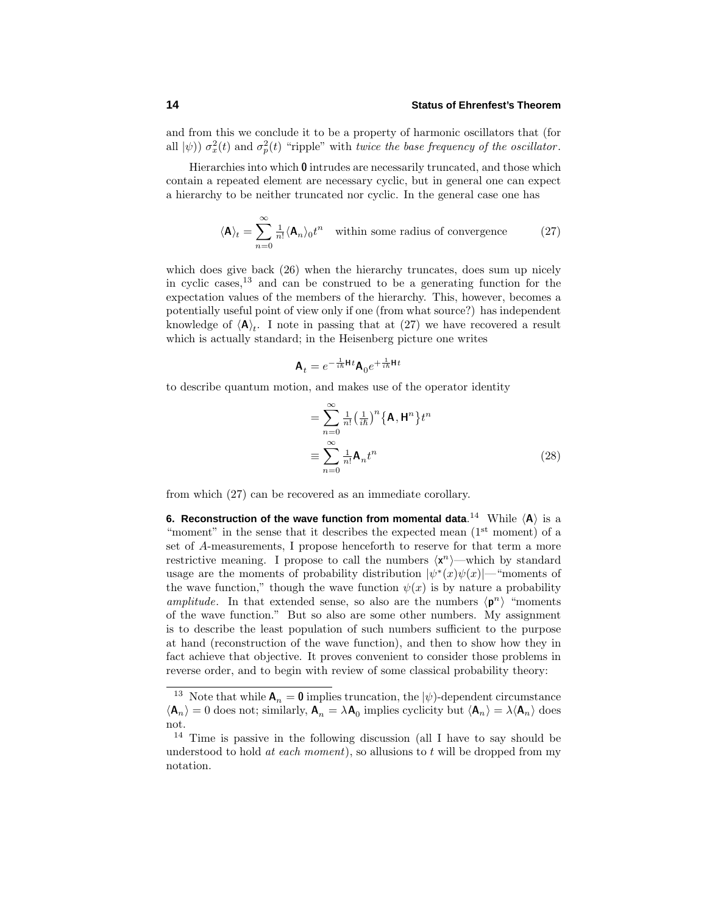and from this we conclude it to be a property of harmonic oscillators that (for all  $|\psi\rangle$ )  $\sigma_x^2(t)$  and  $\sigma_p^2(t)$  "ripple" with twice the base frequency of the oscillator.

Hierarchies into which **0** intrudes are necessarily truncated, and those which contain a repeated element are necessary cyclic, but in general one can expect a hierarchy to be neither truncated nor cyclic. In the general case one has

$$
\langle \mathbf{A} \rangle_t = \sum_{n=0}^{\infty} \frac{1}{n!} \langle \mathbf{A}_n \rangle_0 t^n \quad \text{within some radius of convergence} \tag{27}
$$

which does give back (26) when the hierarchy truncates, does sum up nicely in cyclic cases,  $13$  and can be construed to be a generating function for the expectation values of the members of the hierarchy. This, however, becomes a potentially useful point of view only if one (from what source?) has independent knowledge of  $\langle A \rangle_t$ . I note in passing that at (27) we have recovered a result which is actually standard; in the Heisenberg picture one writes

$$
\mathbf{A}_t = e^{-\frac{1}{i\hbar}\mathbf{H}t}\mathbf{A}_0e^{+\frac{1}{i\hbar}\mathbf{H}t}
$$

to describe quantum motion, and makes use of the operator identity

$$
= \sum_{n=0}^{\infty} \frac{1}{n!} \left(\frac{1}{i\hbar}\right)^n \left\{\mathbf{A}, \mathbf{H}^n\right\} t^n
$$

$$
\equiv \sum_{n=0}^{\infty} \frac{1}{n!} \mathbf{A}_n t^n
$$
(28)

from which (27) can be recovered as an immediate corollary.

**6. Reconstruction of the wave function from momental data.** $^{14}$  **While**  $\langle$ **A** $\rangle$  **is a** "moment" in the sense that it describes the expected mean  $(1<sup>st</sup>$  moment) of a set of *A*-measurements, I propose henceforth to reserve for that term a more restrictive meaning. I propose to call the numbers  $\langle x^n \rangle$ —which by standard usage are the moments of probability distribution  $|\psi^*(x)\psi(x)|$ —"moments of the wave function," though the wave function  $\psi(x)$  is by nature a probability amplitude. In that extended sense, so also are the numbers  $\langle \mathbf{p}^n \rangle$  "moments" of the wave function." But so also are some other numbers. My assignment is to describe the least population of such numbers sufficient to the purpose at hand (reconstruction of the wave function), and then to show how they in fact achieve that objective. It proves convenient to consider those problems in reverse order, and to begin with review of some classical probability theory:

<sup>&</sup>lt;sup>13</sup> Note that while  $A_n = 0$  implies truncation, the  $|\psi\rangle$ -dependent circumstance  $\langle \mathbf{A}_n \rangle = 0$  does not; similarly,  $\mathbf{A}_n = \lambda \mathbf{A}_0$  implies cyclicity but  $\langle \mathbf{A}_n \rangle = \lambda \langle \mathbf{A}_n \rangle$  does not.

<sup>&</sup>lt;sup>14</sup> Time is passive in the following discussion (all I have to say should be understood to hold at each moment), so allusions to *t* will be dropped from my notation.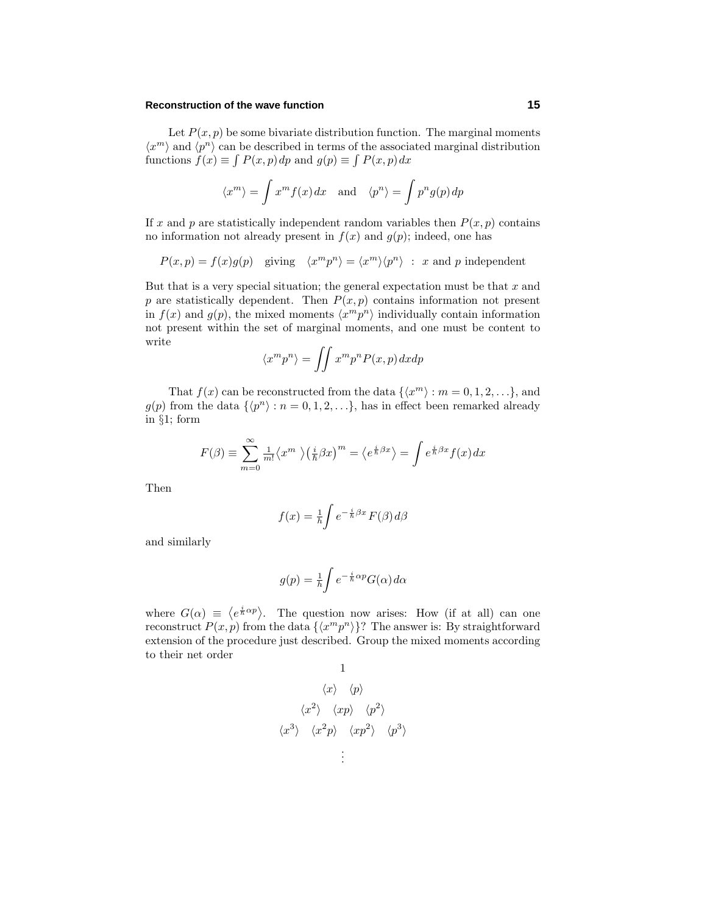#### **Reconstruction of the wave function 15**

Let  $P(x, p)$  be some bivariate distribution function. The marginal moments  $\langle x^m \rangle$  and  $\langle p^n \rangle$  can be described in terms of the associated marginal distribution functions  $f(x) \equiv \int P(x, p) dp$  and  $g(p) \equiv \int P(x, p) dx$ 

$$
\langle x^m \rangle = \int x^m f(x) dx
$$
 and  $\langle p^n \rangle = \int p^n g(p) dp$ 

If *x* and *p* are statistically independent random variables then  $P(x, p)$  contains no information not already present in  $f(x)$  and  $g(p)$ ; indeed, one has

$$
P(x, p) = f(x)g(p)
$$
 giving  $\langle x^m p^n \rangle = \langle x^m \rangle \langle p^n \rangle$ : x and p independent

But that is a very special situation; the general expectation must be that *x* and  $p$  are statistically dependent. Then  $P(x, p)$  contains information not present in  $f(x)$  and  $g(p)$ , the mixed moments  $\langle x^m p^n \rangle$  individually contain information not present within the set of marginal moments, and one must be content to write

$$
\langle x^m p^n \rangle = \iint x^m p^n P(x, p) \, dx \, dp
$$

That  $f(x)$  can be reconstructed from the data  $\{\langle x^m \rangle : m = 0, 1, 2, ...\}$ , and  $g(p)$  from the data  $\{\langle p^n \rangle : n = 0, 1, 2, ...\}$ , has in effect been remarked already in §1; form

$$
F(\beta) \equiv \sum_{m=0}^{\infty} \frac{1}{m!} \langle x^m \rangle \left(\frac{i}{\hbar} \beta x\right)^m = \langle e^{\frac{i}{\hbar} \beta x} \rangle = \int e^{\frac{i}{\hbar} \beta x} f(x) dx
$$

Then

$$
f(x) = \frac{1}{h} \int e^{-\frac{i}{h}\beta x} F(\beta) d\beta
$$

and similarly

$$
g(p) = \frac{1}{h} \int e^{-\frac{i}{h}\alpha p} G(\alpha) d\alpha
$$

where  $G(\alpha) \equiv \langle e^{\frac{i}{\hbar} \alpha p} \rangle$ . The question now arises: How (if at all) can one reconstruct  $P(x, p)$  from the data  $\{(x^m p^n)\}$ ? The answer is: By straightforward extension of the procedure just described. Group the mixed moments according to their net order

1  
\n
$$
\langle x \rangle \langle p \rangle
$$
\n
$$
\langle x^2 \rangle \langle xp \rangle \langle p^2 \rangle
$$
\n
$$
\langle x^3 \rangle \langle x^2 p \rangle \langle xp^2 \rangle \langle p^3 \rangle
$$
\n
$$
\vdots
$$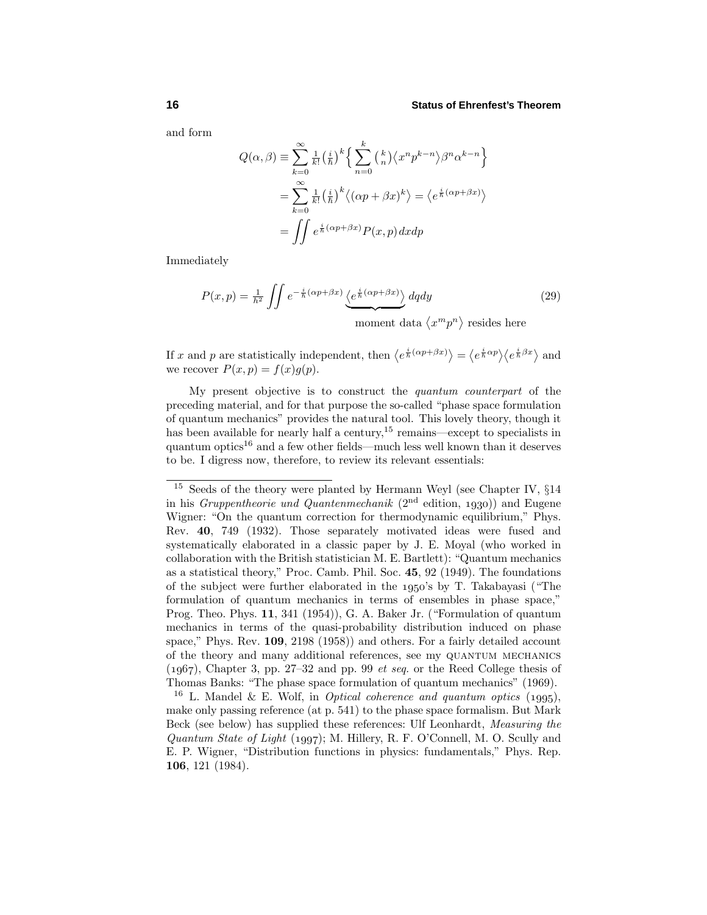and form

$$
Q(\alpha, \beta) = \sum_{k=0}^{\infty} \frac{1}{k!} \left(\frac{i}{\hbar}\right)^k \left\{ \sum_{n=0}^k {k \choose n} \langle x^n p^{k-n} \rangle \beta^n \alpha^{k-n} \right\}
$$

$$
= \sum_{k=0}^{\infty} \frac{1}{k!} \left(\frac{i}{\hbar}\right)^k \langle (\alpha p + \beta x)^k \rangle = \langle e^{\frac{i}{\hbar}(\alpha p + \beta x)} \rangle
$$

$$
= \iint e^{\frac{i}{\hbar}(\alpha p + \beta x)} P(x, p) dx dp
$$

Immediately

$$
P(x,p) = \frac{1}{h^2} \iint e^{-\frac{i}{h}(\alpha p + \beta x)} \underbrace{\langle e^{\frac{i}{h}(\alpha p + \beta x)} \rangle}_{\text{moment data } \langle x^m p^n \rangle \text{ resides here}} \tag{29}
$$

If *x* and *p* are statistically independent, then  $\langle e^{\frac{i}{\hbar}(\alpha p + \beta x)} \rangle = \langle e^{\frac{i}{\hbar}\alpha p} \rangle \langle e^{\frac{i}{\hbar}\beta x} \rangle$  and we recover  $P(x, p) = f(x)g(p)$ .

My present objective is to construct the quantum counterpart of the preceding material, and for that purpose the so-called "phase space formulation of quantum mechanics" provides the natural tool. This lovely theory, though it has been available for nearly half a century, $15$  remains—except to specialists in quantum optics<sup>16</sup> and a few other fields—much less well known than it deserves to be. I digress now, therefore, to review its relevant essentials:

<sup>16</sup> L. Mandel & E. Wolf, in *Optical coherence and quantum optics* (1995), make only passing reference (at p. 541) to the phase space formalism. But Mark Beck (see below) has supplied these references: Ulf Leonhardt, Measuring the Quantum State of Light (1997); M. Hillery, R. F. O'Connell, M. O. Scully and E. P. Wigner, "Distribution functions in physics: fundamentals," Phys. Rep. **106**, 121 (1984).

Seeds of the theory were planted by Hermann Weyl (see Chapter IV,  $\S 14$ in his *Gruppentheorie und Quantenmechanik* ( $2<sup>nd</sup>$  edition, 1930)) and Eugene Wigner: "On the quantum correction for thermodynamic equilibrium," Phys. Rev. **40**, 749 (1932). Those separately motivated ideas were fused and systematically elaborated in a classic paper by J. E. Moyal (who worked in collaboration with the British statistician M. E. Bartlett): "Quantum mechanics as a statistical theory," Proc. Camb. Phil. Soc. **45**, 92 (1949). The foundations of the subject were further elaborated in the  $1950$ 's by T. Takabayasi ("The formulation of quantum mechanics in terms of ensembles in phase space," Prog. Theo. Phys. **11**, 341 (1954)), G. A. Baker Jr. ("Formulation of quantum mechanics in terms of the quasi-probability distribution induced on phase space," Phys. Rev. **109**, 2198 (1958)) and others. For a fairly detailed account of the theory and many additional references, see my quantum mechanics  $(1967)$ , Chapter 3, pp. 27–32 and pp. 99 *et seq.* or the Reed College thesis of Thomas Banks: "The phase space formulation of quantum mechanics" (1969).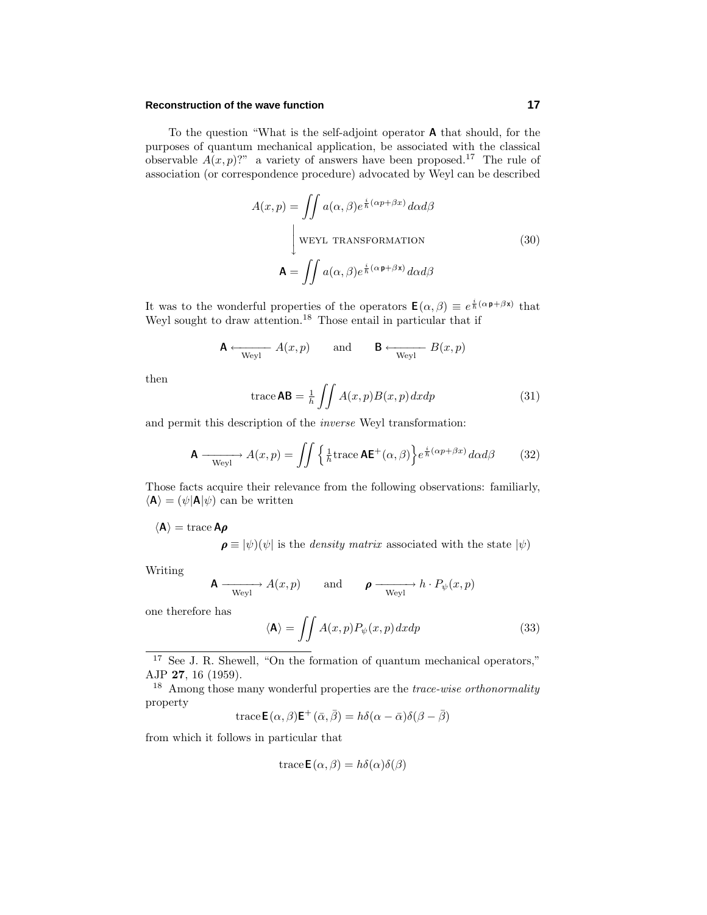#### **Reconstruction of the wave function 17**

To the question "What is the self-adjoint operator **A** that should, for the purposes of quantum mechanical application, be associated with the classical observable  $A(x, p)$ ?" a variety of answers have been proposed.<sup>17</sup> The rule of association (or correspondence procedure) advocated by Weyl can be described

$$
A(x, p) = \iint a(\alpha, \beta) e^{\frac{i}{\hbar}(\alpha p + \beta x)} d\alpha d\beta
$$
  
\n
$$
\downarrow \text{WEYL TRANSFORMATION}
$$
  
\n
$$
\mathbf{A} = \iint a(\alpha, \beta) e^{\frac{i}{\hbar}(\alpha p + \beta x)} d\alpha d\beta
$$
\n(30)

It was to the wonderful properties of the operators  $\mathbf{E}(\alpha, \beta) \equiv e^{\frac{i}{\hbar}(\alpha \mathbf{p} + \beta \mathbf{x})}$  that Weyl sought to draw attention.<sup>18</sup> Those entail in particular that if

$$
\mathbf{A} \leftarrow_{\text{Weyl}} A(x, p) \quad \text{and} \quad \mathbf{B} \leftarrow_{\text{Weyl}} B(x, p)
$$

then

$$
\text{trace } AB = \frac{1}{h} \iint A(x, p) B(x, p) dx dp \tag{31}
$$

and permit this description of the inverse Weyl transformation:

$$
\mathbf{A} \longrightarrow_{\text{Weyl}} A(x, p) = \iint \left\{ \frac{1}{h} \text{trace } \mathbf{A} \mathbf{E}^+(\alpha, \beta) \right\} e^{\frac{i}{h} (\alpha p + \beta x)} d\alpha d\beta \tag{32}
$$

Those facts acquire their relevance from the following observations: familiarly,  $\langle \mathbf{A} \rangle = (\psi | \mathbf{A} | \psi)$  can be written

 $\langle A \rangle$  = trace  $A\rho$ 

 $\rho \equiv |\psi\rangle(\psi|)$  is the *density matrix* associated with the state  $|\psi\rangle$ 

Writing

$$
\mathbf{A} \xrightarrow{\text{Weyl}} A(x, p) \qquad \text{and} \qquad \mathbf{\rho} \xrightarrow{\text{Weyl}} h \cdot P_{\psi}(x, p)
$$

one therefore has

$$
\langle \mathbf{A} \rangle = \iint A(x, p) P_{\psi}(x, p) dx dp \tag{33}
$$

<sup>17</sup> See J. R. Shewell, "On the formation of quantum mechanical operators," AJP **27**, 16 (1959).

<sup>18</sup> Among those many wonderful properties are the *trace-wise orthonormality* property

trace
$$
\mathbf{E}(\alpha, \beta)
$$
 $\mathbf{E}^+(\bar{\alpha}, \bar{\beta}) = h\delta(\alpha - \bar{\alpha})\delta(\beta - \bar{\beta})$ 

from which it follows in particular that

trace 
$$
\mathbf{E}(\alpha, \beta) = h\delta(\alpha)\delta(\beta)
$$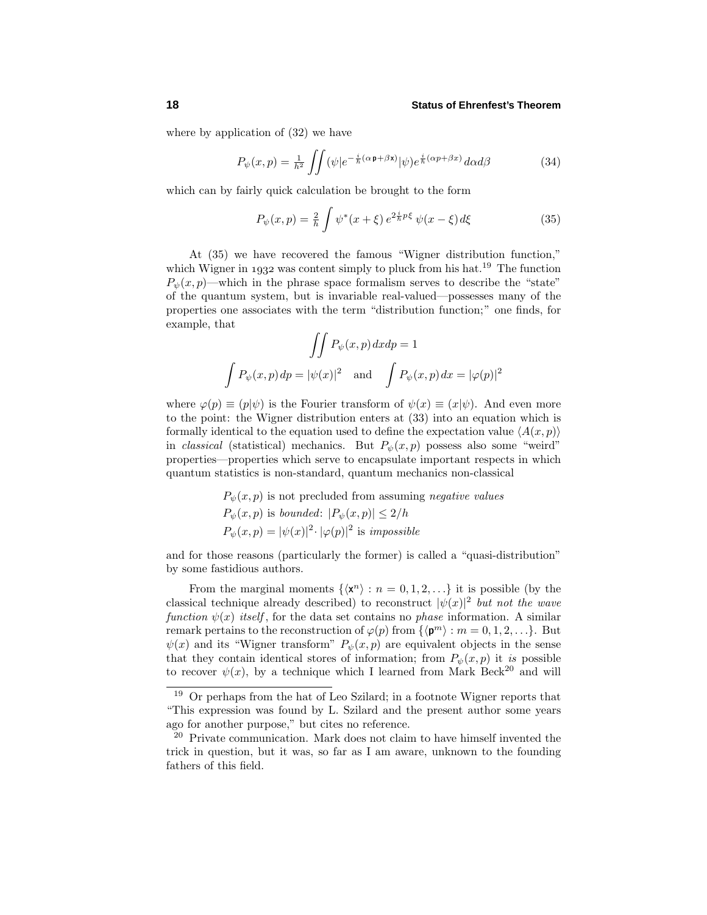where by application of (32) we have

$$
P_{\psi}(x,p) = \frac{1}{\hbar^2} \iint (\psi|e^{-\frac{i}{\hbar}(\alpha \mathbf{p} + \beta \mathbf{x})} |\psi) e^{\frac{i}{\hbar}(\alpha p + \beta x)} d\alpha d\beta \tag{34}
$$

which can by fairly quick calculation be brought to the form

$$
P_{\psi}(x, p) = \frac{2}{h} \int \psi^*(x + \xi) e^{2\frac{i}{h}p\xi} \psi(x - \xi) d\xi
$$
 (35)

At (35) we have recovered the famous "Wigner distribution function," which Wigner in 1932 was content simply to pluck from his hat.<sup>19</sup> The function  $P_{\psi}(x, p)$ —which in the phrase space formalism serves to describe the "state" of the quantum system, but is invariable real-valued—possesses many of the properties one associates with the term "distribution function;" one finds, for example, that

$$
\iint P_{\psi}(x, p) dx dp = 1
$$
  

$$
\int P_{\psi}(x, p) dp = |\psi(x)|^2 \text{ and } \int P_{\psi}(x, p) dx = |\varphi(p)|^2
$$

where  $\varphi(p) \equiv (p|\psi)$  is the Fourier transform of  $\psi(x) \equiv (x|\psi)$ . And even more to the point: the Wigner distribution enters at (33) into an equation which is formally identical to the equation used to define the expectation value  $\langle A(x, p) \rangle$ in *classical* (statistical) mechanics. But  $P_{\psi}(x, p)$  possess also some "weird" properties—properties which serve to encapsulate important respects in which quantum statistics is non-standard, quantum mechanics non-classical

$$
P_{\psi}(x, p)
$$
 is not precluded from assuming negative values  
\n $P_{\psi}(x, p)$  is bounded:  $|P_{\psi}(x, p)| \le 2/h$   
\n $P_{\psi}(x, p) = |\psi(x)|^2 \cdot |\varphi(p)|^2$  is impossible

and for those reasons (particularly the former) is called a "quasi-distribution" by some fastidious authors.

From the marginal moments  $\{\langle x^n \rangle : n = 0, 1, 2, ...\}$  it is possible (by the classical technique already described) to reconstruct  $|\psi(x)|^2$  but not the wave function  $\psi(x)$  itself, for the data set contains no *phase* information. A similar remark pertains to the reconstruction of  $\varphi(p)$  from  $\{\langle \mathbf{p}^m \rangle : m = 0, 1, 2, \ldots\}$ . But  $\psi(x)$  and its "Wigner transform"  $P_{\psi}(x, p)$  are equivalent objects in the sense that they contain identical stores of information; from  $P_{\psi}(x, p)$  it is possible to recover  $\psi(x)$ , by a technique which I learned from Mark Beck<sup>20</sup> and will

<sup>19</sup> Or perhaps from the hat of Leo Szilard; in a footnote Wigner reports that "This expression was found by L. Szilard and the present author some years ago for another purpose," but cites no reference.

 $20$  Private communication. Mark does not claim to have himself invented the trick in question, but it was, so far as I am aware, unknown to the founding fathers of this field.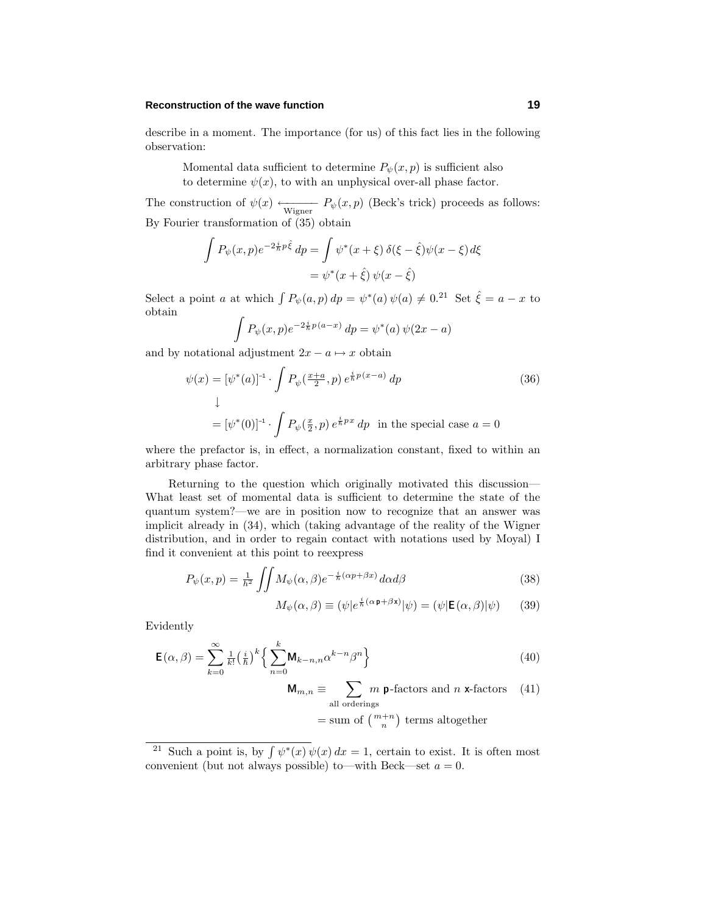#### **Reconstruction of the wave function 19**

describe in a moment. The importance (for us) of this fact lies in the following observation:

Momental data sufficient to determine  $P_{\psi}(x, p)$  is sufficient also to determine  $\psi(x)$ , to with an unphysical over-all phase factor.

The construction of  $\psi(x) \longleftarrow_{\text{Wigner}} P_{\psi}(x, p)$  (Beck's trick) proceeds as follows: By Fourier transformation of (35) obtain

$$
\int P_{\psi}(x, p)e^{-2\frac{i}{\hbar}p\hat{\xi}} dp = \int \psi^*(x+\xi) \,\delta(\xi-\hat{\xi})\psi(x-\xi) d\xi
$$

$$
= \psi^*(x+\hat{\xi})\,\psi(x-\hat{\xi})
$$

Select a point *a* at which  $\int P_{\psi}(a, p) dp = \psi^*(a) \psi(a) \neq 0.$ <sup>21</sup> Set  $\hat{\xi} = a - x$  to obtain

$$
\int P_{\psi}(x, p)e^{-2\frac{i}{\hbar}p(a-x)} dp = \psi^{*}(a)\psi(2x - a)
$$

and by notational adjustment  $2x - a \mapsto x$  obtain

$$
\psi(x) = [\psi^*(a)]^{-1} \cdot \int P_{\psi}(\frac{x+a}{2}, p) e^{\frac{i}{\hbar}p(x-a)} dp
$$
\n
$$
\downarrow
$$
\n
$$
= [\psi^*(0)]^{-1} \cdot \int P_{\psi}(\frac{x}{2}, p) e^{\frac{i}{\hbar}p x} dp \text{ in the special case } a = 0
$$
\n(36)

where the prefactor is, in effect, a normalization constant, fixed to within an arbitrary phase factor.

Returning to the question which originally motivated this discussion— What least set of momental data is sufficient to determine the state of the quantum system?—we are in position now to recognize that an answer was implicit already in (34), which (taking advantage of the reality of the Wigner distribution, and in order to regain contact with notations used by Moyal) I find it convenient at this point to reexpress

$$
P_{\psi}(x,p) = \frac{1}{h^2} \iint M_{\psi}(\alpha,\beta) e^{-\frac{i}{h}(\alpha p + \beta x)} d\alpha d\beta \tag{38}
$$

$$
M_{\psi}(\alpha,\beta) \equiv (\psi|e^{\frac{i}{\hbar}(\alpha \mathbf{p} + \beta \mathbf{x})}|\psi) = (\psi|\mathbf{E}(\alpha,\beta)|\psi) \qquad (39)
$$

Evidently

$$
\mathbf{E}(\alpha,\beta) = \sum_{k=0}^{\infty} \frac{1}{k!} \left(\frac{i}{\hbar}\right)^k \left\{ \sum_{n=0}^k \mathbf{M}_{k-n,n} \alpha^{k-n} \beta^n \right\}
$$
(40)

$$
\mathbf{M}_{m,n} \equiv \sum_{\text{all orderings}} m \mathbf{p}\text{-factors and } n \mathbf{x}\text{-factors} \quad (41)
$$

$$
= \text{sum of } \left( \begin{smallmatrix} m+n \\ n \end{smallmatrix} \right) \text{ terms altogether}
$$

<sup>&</sup>lt;sup>21</sup> Such a point is, by  $\int \psi^*(x) \psi(x) dx = 1$ , certain to exist. It is often most convenient (but not always possible) to—with Beck—set  $a = 0$ .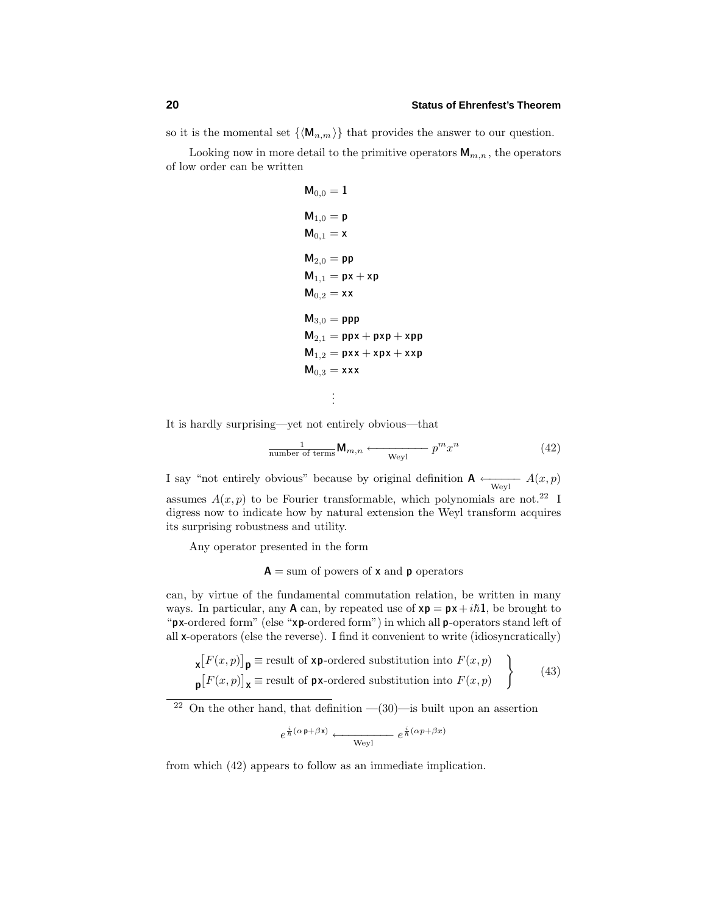so it is the momental set  $\{\langle \mathbf{M}_{n,m} \rangle\}$  that provides the answer to our question.

Looking now in more detail to the primitive operators  $\mathbf{M}_{m,n}$ , the operators of low order can be written

$$
M_{0,0} = 1
$$
\n
$$
M_{1,0} = p
$$
\n
$$
M_{0,1} = x
$$
\n
$$
M_{2,0} = pp
$$
\n
$$
M_{1,1} = px + xp
$$
\n
$$
M_{0,2} = xx
$$
\n
$$
M_{3,0} = ppp
$$
\n
$$
M_{2,1} = ppx + pxp + xp
$$
\n
$$
M_{1,2} = pxx + xpx + xp
$$
\n
$$
M_{0,3} = xxx
$$
\n
$$
\vdots
$$

It is hardly surprising—yet not entirely obvious—that

$$
\frac{1}{\text{number of terms}} \mathbf{M}_{m,n} \longleftarrow \frac{}{\mathbf{W}^m x^n} \tag{42}
$$

I say "not entirely obvious" because by original definition  $\mathbf{A} \leftarrow_{Weyl} A(x, p)$ assumes  $A(x, p)$  to be Fourier transformable, which polynomials are not.<sup>22</sup> I digress now to indicate how by natural extension the Weyl transform acquires its surprising robustness and utility.

Any operator presented in the form

 $A =$ sum of powers of **x** and **p** operators

can, by virtue of the fundamental commutation relation, be written in many ways. In particular, any **A** can, by repeated use of  $xp = px + i\hbar 1$ , be brought to "**px**-ordered form" (else "**xp**-ordered form") in which all **p**-operators stand left of all **x**-operators (else the reverse). I find it convenient to write (idiosyncratically)

$$
\mathbf{x}[F(x,p)]_{\mathbf{p}} \equiv \text{result of } \mathbf{x}\mathbf{p}\text{-ordered substitution into } F(x,p) \}
$$
\n
$$
\mathbf{p}[F(x,p)]_{\mathbf{x}} \equiv \text{result of } \mathbf{p}\mathbf{x}\text{-ordered substitution into } F(x,p) \quad \text{(43)}
$$

<sup>22</sup> On the other hand, that definition  $-(30)$ —is built upon an assertion

$$
e^{\frac{i}{\hbar}(\alpha \mathbf{p} + \beta \mathbf{x})} \longleftarrow \mathbf{Weyl} e^{\frac{i}{\hbar}(\alpha p + \beta x)}
$$

from which (42) appears to follow as an immediate implication.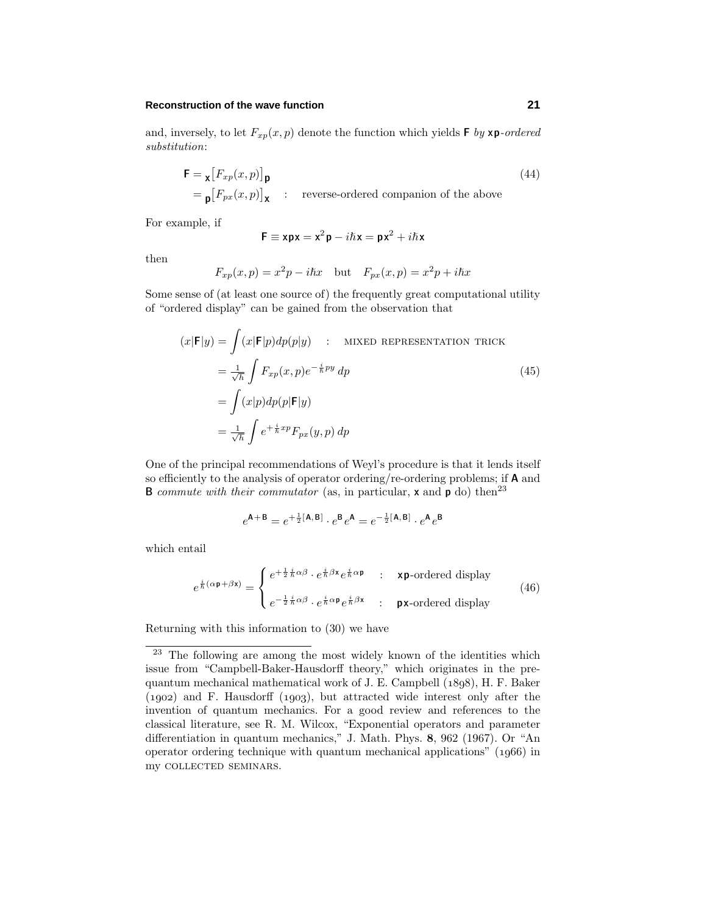#### **Reconstruction of the wave function 21**

$$
\mathbf{F} = \mathbf{x} \left[ F_{xp}(x, p) \right]_{\mathbf{p}}
$$
  
=  $\mathbf{p} \left[ F_{px}(x, p) \right]_{\mathbf{X}}$  : reverse-ordered companion of the above

For example, if

$$
\textbf{F}\equiv \textbf{x}\textbf{p}\textbf{x}=\textbf{x}^2\textbf{p}-i\hbar\textbf{x}=\textbf{p}\textbf{x}^2+i\hbar\textbf{x}
$$

then

$$
F_{xp}(x,p) = x^2p - i\hbar x
$$
 but 
$$
F_{px}(x,p) = x^2p + i\hbar x
$$

Some sense of (at least one source of) the frequently great computational utility of "ordered display" can be gained from the observation that

$$
(x|\mathbf{F}|y) = \int (x|\mathbf{F}|p)dp(p|y) \quad : \quad \text{MIXED REPRESENTATION TRUE}
$$
\n
$$
= \frac{1}{\sqrt{h}} \int F_{xp}(x,p)e^{-\frac{i}{h}py} dp
$$
\n
$$
= \int (x|p)dp(p|\mathbf{F}|y)
$$
\n
$$
= \frac{1}{\sqrt{h}} \int e^{+\frac{i}{h}xp} F_{px}(y,p) dp
$$
\n(45)

One of the principal recommendations of Weyl's procedure is that it lends itself so efficiently to the analysis of operator ordering/re-ordering problems; if **A** and **B** commute with their commutator (as, in particular,  $\boldsymbol{\mathsf{x}}$  and  $\boldsymbol{\mathsf{p}}$  do) then<sup>23</sup>

$$
e^{\mathbf{A} + \mathbf{B}} = e^{+\frac{1}{2}[\mathbf{A}, \mathbf{B}]} \cdot e^{\mathbf{B}} e^{\mathbf{A}} = e^{-\frac{1}{2}[\mathbf{A}, \mathbf{B}]} \cdot e^{\mathbf{A}} e^{\mathbf{B}}
$$

which entail

$$
e^{\frac{i}{\hbar}(\alpha \mathbf{p} + \beta \mathbf{x})} = \begin{cases} e^{+\frac{1}{2}\frac{i}{\hbar}\alpha\beta} \cdot e^{\frac{i}{\hbar}\beta \mathbf{x}} e^{\frac{i}{\hbar}\alpha \mathbf{p}} & : & \text{xp-ordered display} \\ e^{-\frac{1}{2}\frac{i}{\hbar}\alpha\beta} \cdot e^{\frac{i}{\hbar}\alpha \mathbf{p}} e^{\frac{i}{\hbar}\beta \mathbf{x}} & : & \text{px-ordered display} \end{cases} \tag{46}
$$

Returning with this information to (30) we have

<sup>&</sup>lt;sup>23</sup> The following are among the most widely known of the identities which issue from "Campbell-Baker-Hausdorff theory," which originates in the prequantum mechanical mathematical work of J. E. Campbell  $(1898)$ , H. F. Baker  $(1902)$  and F. Hausdorff  $(1903)$ , but attracted wide interest only after the invention of quantum mechanics. For a good review and references to the classical literature, see R. M. Wilcox, "Exponential operators and parameter differentiation in quantum mechanics," J. Math. Phys. **8**, 962 (1967). Or "An operator ordering technique with quantum mechanical applications"  $(1966)$  in my collected seminars.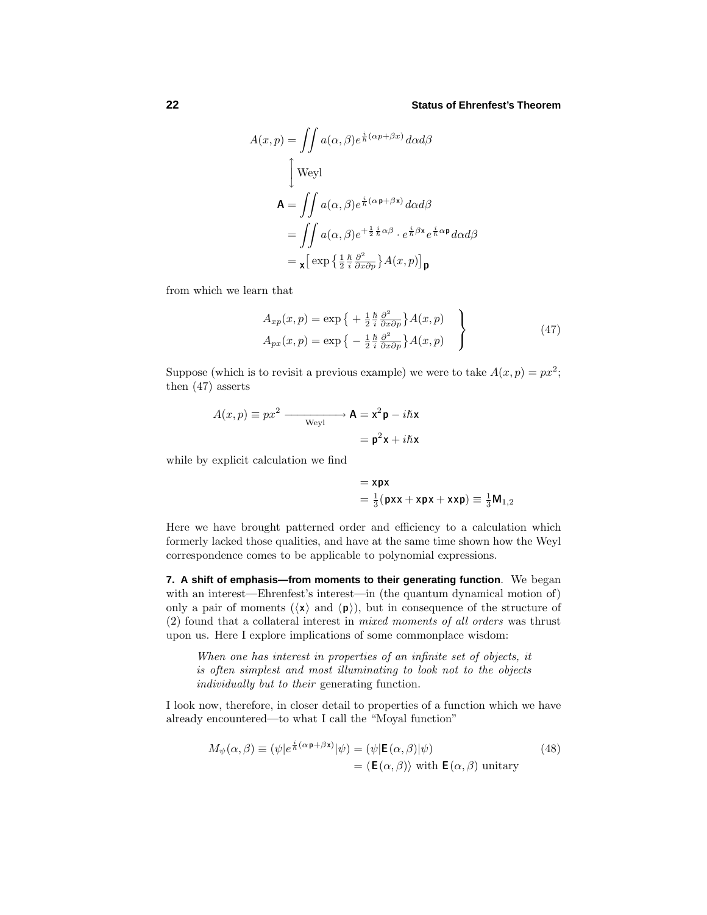$$
A(x, p) = \iint a(\alpha, \beta) e^{\frac{i}{\hbar}(\alpha p + \beta x)} d\alpha d\beta
$$
  
\n
$$
\int \text{Weyl}
$$
  
\n
$$
\mathbf{A} = \iint a(\alpha, \beta) e^{\frac{i}{\hbar}(\alpha p + \beta x)} d\alpha d\beta
$$
  
\n
$$
= \iint a(\alpha, \beta) e^{+\frac{1}{2}\frac{i}{\hbar}\alpha\beta} \cdot e^{\frac{i}{\hbar}\beta x} e^{\frac{i}{\hbar}\alpha p} d\alpha d\beta
$$
  
\n
$$
= \mathbf{x} \left[ \exp\left\{ \frac{1}{2} \frac{\hbar}{i} \frac{\partial^2}{\partial x \partial p} \right\} A(x, p) \right] \mathbf{p}
$$

from which we learn that

$$
A_{xp}(x,p) = \exp\left\{ + \frac{1}{2} \frac{\hbar}{i} \frac{\partial^2}{\partial x \partial p} \right\} A(x,p) \}
$$
  
\n
$$
A_{px}(x,p) = \exp\left\{ - \frac{1}{2} \frac{\hbar}{i} \frac{\partial^2}{\partial x \partial p} \right\} A(x,p)
$$
\n(47)

Suppose (which is to revisit a previous example) we were to take  $A(x, p) = px^2$ ; then (47) asserts

$$
A(x, p) \equiv px^2 \xrightarrow{\text{Weyl}} \mathbf{A} = \mathbf{x}^2 \mathbf{p} - i\hbar \mathbf{x}
$$

$$
= \mathbf{p}^2 \mathbf{x} + i\hbar \mathbf{x}
$$

while by explicit calculation we find

$$
= \mathbf{x}\mathbf{p}\mathbf{x}
$$
  
=  $\frac{1}{3}$ ( $\mathbf{p}\mathbf{x}\mathbf{x} + \mathbf{x}\mathbf{p}\mathbf{x} + \mathbf{x}\mathbf{x}\mathbf{p}$ )  $\equiv \frac{1}{3}\mathbf{M}_{1,2}$ 

Here we have brought patterned order and efficiency to a calculation which formerly lacked those qualities, and have at the same time shown how the Weyl correspondence comes to be applicable to polynomial expressions.

**7. A shift of emphasis—from moments to their generating function**. We began with an interest—Ehrenfest's interest—in (the quantum dynamical motion of) only a pair of moments  $(\langle x \rangle)$  and  $\langle p \rangle$ , but in consequence of the structure of (2) found that a collateral interest in mixed moments of all orders was thrust upon us. Here I explore implications of some commonplace wisdom:

When one has interest in properties of an infinite set of objects, it is often simplest and most illuminating to look not to the objects individually but to their generating function.

I look now, therefore, in closer detail to properties of a function which we have already encountered—to what I call the "Moyal function"

$$
M_{\psi}(\alpha,\beta) \equiv (\psi|e^{\frac{i}{\hbar}(\alpha \mathbf{p} + \beta \mathbf{x})}|\psi) = (\psi|\mathbf{E}(\alpha,\beta)|\psi)
$$
  
=  $\langle \mathbf{E}(\alpha,\beta) \rangle$  with  $\mathbf{E}(\alpha,\beta)$  unitary (48)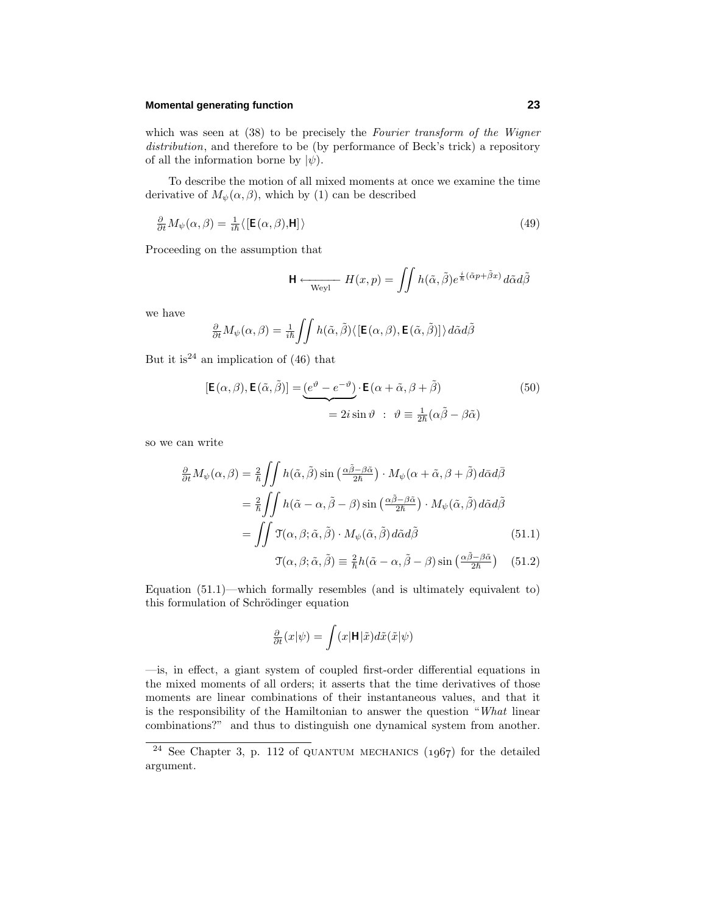#### **Momental generating function 23**

which was seen at  $(38)$  to be precisely the Fourier transform of the Wigner distribution, and therefore to be (by performance of Beck's trick) a repository of all the information borne by  $|\psi\rangle$ .

To describe the motion of all mixed moments at once we examine the time derivative of  $M_{\psi}(\alpha, \beta)$ , which by (1) can be described

$$
\frac{\partial}{\partial t} M_{\psi}(\alpha, \beta) = \frac{1}{i\hbar} \langle \left[ \mathbf{E}(\alpha, \beta), \mathbf{H} \right] \rangle \tag{49}
$$

Proceeding on the assumption that

$$
\mathsf{H} \longleftarrow_{\text{Weyl}} H(x, p) = \iint h(\tilde{\alpha}, \tilde{\beta}) e^{\frac{i}{\hbar}(\tilde{\alpha}p + \tilde{\beta}x)} d\tilde{\alpha} d\tilde{\beta}
$$

we have

$$
\frac{\partial}{\partial t}M_{\psi}(\alpha,\beta) = \frac{1}{i\hbar}\iint h(\tilde{\alpha},\tilde{\beta})\langle\left[\mathbf{E}(\alpha,\beta),\mathbf{E}(\tilde{\alpha},\tilde{\beta})\right]\rangle d\tilde{\alpha}d\tilde{\beta}
$$

But it is<sup>24</sup> an implication of  $(46)$  that

$$
[\mathbf{E}(\alpha,\beta),\mathbf{E}(\tilde{\alpha},\tilde{\beta})] = \underbrace{(e^{\vartheta} - e^{-\vartheta})}_{= 2i \sin \vartheta} \cdot \mathbf{E}(\alpha + \tilde{\alpha}, \beta + \tilde{\beta})
$$
\n
$$
= 2i \sin \vartheta \; : \; \vartheta \equiv \frac{1}{2\hbar}(\alpha\tilde{\beta} - \beta\tilde{\alpha})
$$
\n(50)

so we can write

$$
\frac{\partial}{\partial t} M_{\psi}(\alpha, \beta) = \frac{2}{\hbar} \iint h(\tilde{\alpha}, \tilde{\beta}) \sin\left(\frac{\alpha \tilde{\beta} - \beta \tilde{\alpha}}{2\hbar}\right) \cdot M_{\psi}(\alpha + \tilde{\alpha}, \beta + \tilde{\beta}) d\bar{\alpha} d\bar{\beta}
$$

$$
= \frac{2}{\hbar} \iint h(\tilde{\alpha} - \alpha, \tilde{\beta} - \beta) \sin\left(\frac{\alpha \tilde{\beta} - \beta \tilde{\alpha}}{2\hbar}\right) \cdot M_{\psi}(\tilde{\alpha}, \tilde{\beta}) d\tilde{\alpha} d\tilde{\beta}
$$

$$
= \iint \mathfrak{T}(\alpha, \beta; \tilde{\alpha}, \tilde{\beta}) \cdot M_{\psi}(\tilde{\alpha}, \tilde{\beta}) d\tilde{\alpha} d\tilde{\beta} \tag{51.1}
$$

$$
\mathfrak{T}(\alpha, \beta; \tilde{\alpha}, \tilde{\beta}) \equiv \frac{2}{\hbar} h(\tilde{\alpha} - \alpha, \tilde{\beta} - \beta) \sin\left(\frac{\alpha \tilde{\beta} - \beta \tilde{\alpha}}{2\hbar}\right) \tag{51.2}
$$

Equation (51.1)—which formally resembles (and is ultimately equivalent to) this formulation of Schrödinger equation

$$
\frac{\partial}{\partial t}(x|\psi) = \int (x|\mathbf{H}|\tilde{x})d\tilde{x}(\tilde{x}|\psi)
$$

—is, in effect, a giant system of coupled first-order differential equations in the mixed moments of all orders; it asserts that the time derivatives of those moments are linear combinations of their instantaneous values, and that it is the responsibility of the Hamiltonian to answer the question "What linear combinations?" and thus to distinguish one dynamical system from another.

<sup>&</sup>lt;sup>24</sup> See Chapter 3, p. 112 of QUANTUM MECHANICS  $(1967)$  for the detailed argument.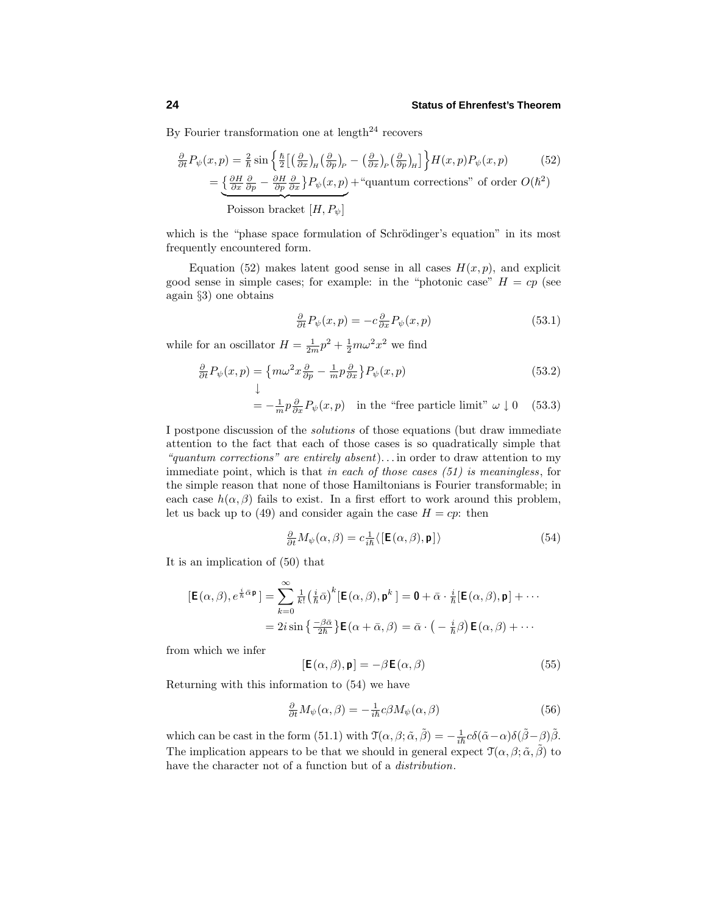By Fourier transformation one at length<sup>24</sup> recovers

$$
\frac{\partial}{\partial t} P_{\psi}(x, p) = \frac{2}{\hbar} \sin \left\{ \frac{\hbar}{2} \left[ \left( \frac{\partial}{\partial x} \right)_{\mu} \left( \frac{\partial}{\partial p} \right)_{p} - \left( \frac{\partial}{\partial x} \right)_{p} \left( \frac{\partial}{\partial p} \right)_{\mu} \right] \right\} H(x, p) P_{\psi}(x, p) \tag{52}
$$
\n
$$
= \underbrace{\left\{ \frac{\partial H}{\partial x} \frac{\partial}{\partial p} - \frac{\partial H}{\partial p} \frac{\partial}{\partial x} \right\} P_{\psi}(x, p)}_{\text{Poisson bracket } [H, P_{\psi}]} + \text{``quantum corrections'' of order } O(\hbar^{2})
$$

which is the "phase space formulation of Schrödinger's equation" in its most frequently encountered form.

Equation (52) makes latent good sense in all cases  $H(x, p)$ , and explicit good sense in simple cases; for example: in the "photonic case"  $H = cp$  (see again §3) one obtains

$$
\frac{\partial}{\partial t}P_{\psi}(x,p) = -c \frac{\partial}{\partial x}P_{\psi}(x,p) \tag{53.1}
$$

while for an oscillator  $H = \frac{1}{2m}p^2 + \frac{1}{2}m\omega^2 x^2$  we find

$$
\frac{\partial}{\partial t}P_{\psi}(x,p) = \{m\omega^2 x \frac{\partial}{\partial p} - \frac{1}{m}p\frac{\partial}{\partial x}\}P_{\psi}(x,p)
$$
(53.2)  

$$
\downarrow
$$
  

$$
= -\frac{1}{m}p\frac{\partial}{\partial x}P_{\psi}(x,p) \text{ in the "free particle limit" } \omega \downarrow 0
$$
(53.3)

I postpone discussion of the solutions of those equations (but draw immediate attention to the fact that each of those cases is so quadratically simple that "quantum corrections" are entirely absent)*...* in order to draw attention to my immediate point, which is that in each of those cases (51) is meaningless, for the simple reason that none of those Hamiltonians is Fourier transformable; in each case  $h(\alpha, \beta)$  fails to exist. In a first effort to work around this problem, let us back up to (49) and consider again the case  $H = cp$ : then

$$
\frac{\partial}{\partial t}M_{\psi}(\alpha,\beta) = c \frac{1}{i\hbar} \langle \left[\mathbf{E}(\alpha,\beta), \mathbf{p}\right] \rangle \tag{54}
$$

It is an implication of (50) that

$$
[\mathbf{E}(\alpha,\beta), e^{\frac{i}{\hbar}\bar{\alpha}\mathbf{p}}] = \sum_{k=0}^{\infty} \frac{1}{k!} \left(\frac{i}{\hbar}\bar{\alpha}\right)^k [\mathbf{E}(\alpha,\beta), \mathbf{p}^k] = \mathbf{0} + \bar{\alpha} \cdot \frac{i}{\hbar} [\mathbf{E}(\alpha,\beta), \mathbf{p}] + \cdots
$$

$$
= 2i \sin \left\{ \frac{-\beta\bar{\alpha}}{2\hbar} \right\} \mathbf{E}(\alpha + \bar{\alpha}, \beta) = \bar{\alpha} \cdot \left( -\frac{i}{\hbar}\beta \right) \mathbf{E}(\alpha, \beta) + \cdots
$$

from which we infer

$$
[\mathsf{E}(\alpha,\beta),\mathsf{p}] = -\beta \mathsf{E}(\alpha,\beta) \tag{55}
$$

Returning with this information to (54) we have

$$
\frac{\partial}{\partial t}M_{\psi}(\alpha,\beta) = -\frac{1}{i\hbar}c\beta M_{\psi}(\alpha,\beta)
$$
\n(56)

which can be cast in the form (51.1) with  $\mathcal{T}(\alpha, \beta; \tilde{\alpha}, \tilde{\beta}) = -\frac{1}{i\hbar}c\delta(\tilde{\alpha} - \alpha)\delta(\tilde{\beta} - \beta)\tilde{\beta}$ . The implication appears to be that we should in general expect  $\mathcal{T}(\alpha, \beta; \tilde{\alpha}, \tilde{\beta})$  to have the character not of a function but of a distribution.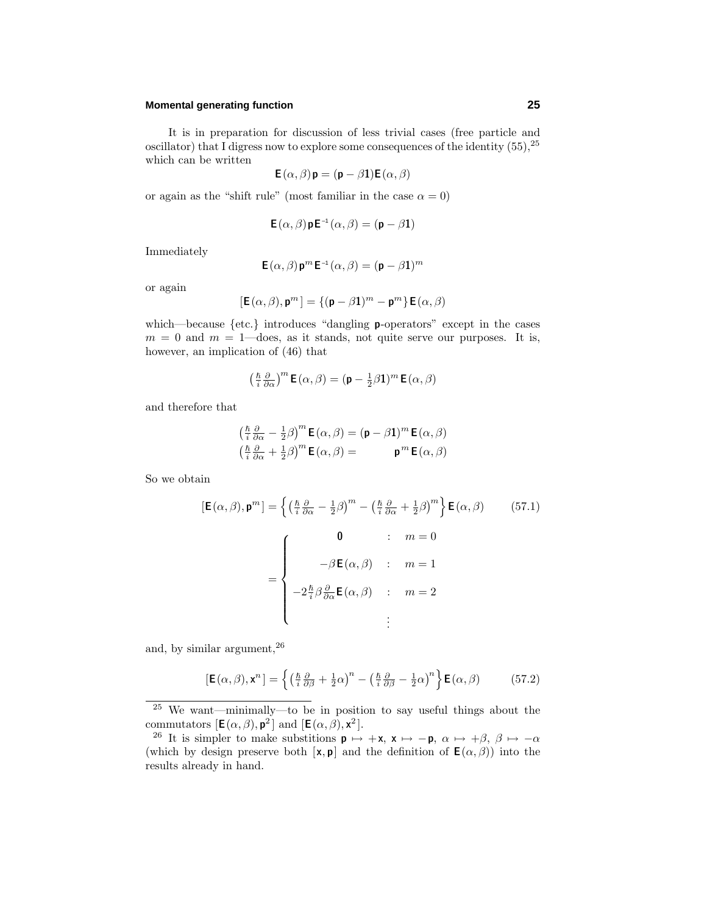### **Momental generating function 25**

It is in preparation for discussion of less trivial cases (free particle and oscillator) that I digress now to explore some consequences of the identity (55),<sup>25</sup> which can be written

$$
\mathsf{E}\left(\alpha,\beta\right)\mathsf{p}=\left(\mathsf{p}-\beta\mathbf{1}\right)\mathsf{E}\left(\alpha,\beta\right)
$$

or again as the "shift rule" (most familiar in the case  $\alpha = 0$ )

$$
\mathsf{E}(\alpha,\beta)\mathsf{p}\mathsf{E}^{-1}(\alpha,\beta) = (\mathsf{p} - \beta\mathbf{1})
$$

Immediately

$$
\mathsf{E}\left(\alpha,\beta\right)\mathsf{p}^m\mathsf{E}^{-1}\left(\alpha,\beta\right)=(\mathsf{p}-\beta\mathbf{1})^m
$$

or again

$$
[\mathbf{E}(\alpha,\beta),\mathbf{p}^m]=\{(\mathbf{p}-\beta\mathbf{1})^m-\mathbf{p}^m\}\,\mathbf{E}(\alpha,\beta)
$$

which—because {etc.} introduces "dangling **p**-operators" except in the cases  $m = 0$  and  $m = 1$ —does, as it stands, not quite serve our purposes. It is, however, an implication of (46) that

$$
\left(\tfrac{\hslash}{i}\tfrac{\partial}{\partial\alpha}\right)^m\mathsf{E}\left(\alpha,\beta\right)=(\mathsf{p}-\tfrac{1}{2}\beta\mathbf{1})^m\,\mathsf{E}\left(\alpha,\beta\right)
$$

and therefore that

$$
\begin{aligned}\n\left(\frac{\hbar}{i}\frac{\partial}{\partial\alpha} - \frac{1}{2}\beta\right)^{m}\mathbf{E}(\alpha,\beta) &= (\mathbf{p} - \beta\mathbf{1})^{m}\,\mathbf{E}(\alpha,\beta) \\
\left(\frac{\hbar}{i}\frac{\partial}{\partial\alpha} + \frac{1}{2}\beta\right)^{m}\mathbf{E}(\alpha,\beta) &= \mathbf{p}^{m}\,\mathbf{E}(\alpha,\beta)\n\end{aligned}
$$

So we obtain

$$
[\mathbf{E}(\alpha,\beta), \mathbf{p}^m] = \left\{ \left( \frac{\hbar}{i} \frac{\partial}{\partial \alpha} - \frac{1}{2} \beta \right)^m - \left( \frac{\hbar}{i} \frac{\partial}{\partial \alpha} + \frac{1}{2} \beta \right)^m \right\} \mathbf{E}(\alpha,\beta) \qquad (57.1)
$$

$$
= \begin{cases} \mathbf{0} & \colon m = 0 \\ -\beta \mathbf{E}(\alpha,\beta) & \colon m = 1 \\ -2 \frac{\hbar}{i} \beta \frac{\partial}{\partial \alpha} \mathbf{E}(\alpha,\beta) & \colon m = 2 \\ \vdots & \vdots \end{cases}
$$

and, by similar argument,<sup>26</sup>

$$
[\mathbf{E}(\alpha,\beta),\mathbf{x}^n] = \left\{ \left( \frac{\hbar}{i} \frac{\partial}{\partial \beta} + \frac{1}{2} \alpha \right)^n - \left( \frac{\hbar}{i} \frac{\partial}{\partial \beta} - \frac{1}{2} \alpha \right)^n \right\} \mathbf{E}(\alpha,\beta) \tag{57.2}
$$

<sup>25</sup> We want—minimally—to be in position to say useful things about the commutators  $[\mathbf{E}(\alpha, \beta), \mathbf{p}^2]$  and  $[\mathbf{E}(\alpha, \beta), \mathbf{x}^2]$ .

<sup>&</sup>lt;sup>26</sup> It is simpler to make substitions  $\mathbf{p} \mapsto +\mathbf{x}$ ,  $\mathbf{x} \mapsto -\mathbf{p}$ ,  $\alpha \mapsto +\beta$ ,  $\beta \mapsto -\alpha$ (which by design preserve both  $[\mathbf{x}, \mathbf{p}]$  and the definition of  $\mathbf{E}(\alpha, \beta)$ ) into the results already in hand.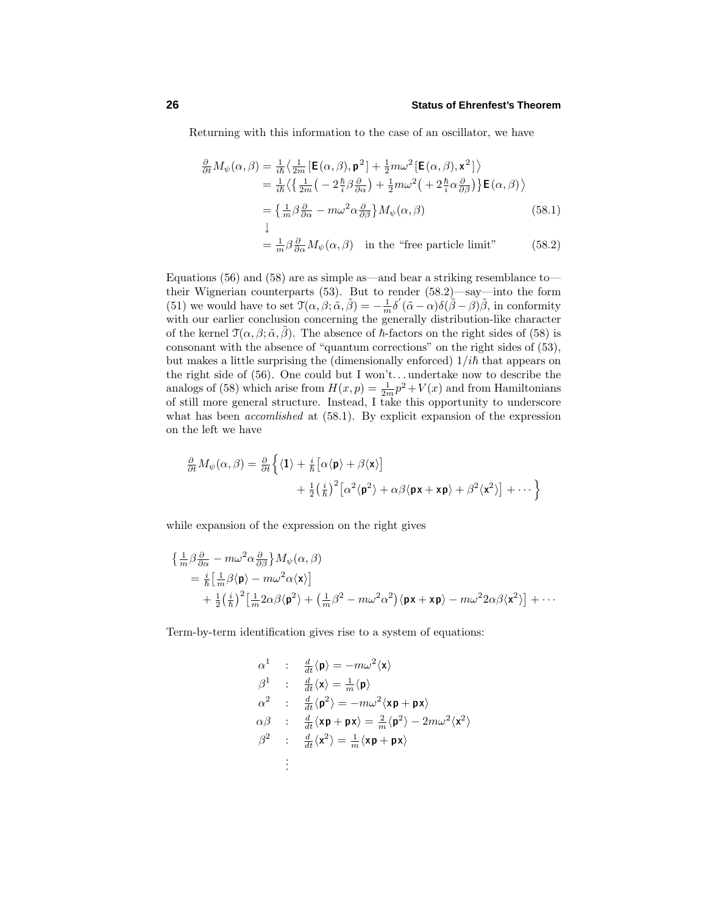Returning with this information to the case of an oscillator, we have

$$
\frac{\partial}{\partial t} M_{\psi}(\alpha, \beta) = \frac{1}{i\hbar} \left\langle \frac{1}{2m} \left[ \mathbf{E}(\alpha, \beta), \mathbf{p}^{2} \right] + \frac{1}{2} m \omega^{2} \left[ \mathbf{E}(\alpha, \beta), \mathbf{x}^{2} \right] \right\rangle
$$
\n
$$
= \frac{1}{i\hbar} \left\langle \left\{ \frac{1}{2m} \left( -2\frac{\hbar}{i} \beta \frac{\partial}{\partial \alpha} \right) + \frac{1}{2} m \omega^{2} \left( +2\frac{\hbar}{i} \alpha \frac{\partial}{\partial \beta} \right) \right\} \mathbf{E}(\alpha, \beta) \right\rangle
$$
\n
$$
= \left\{ \frac{1}{m} \beta \frac{\partial}{\partial \alpha} - m \omega^{2} \alpha \frac{\partial}{\partial \beta} \right\} M_{\psi}(\alpha, \beta)
$$
\n
$$
\downarrow
$$
\n
$$
= \frac{1}{m} \beta \frac{\partial}{\partial \alpha} M_{\psi}(\alpha, \beta) \quad \text{in the "free particle limit"}
$$
\n(58.2)

Equations (56) and (58) are as simple as—and bear a striking resemblance to their Wignerian counterparts (53). But to render (58.2)—say—into the form (51) we would have to set  $\mathfrak{T}(\alpha, \beta; \tilde{\alpha}, \tilde{\beta}) = -\frac{1}{m} \delta'(\tilde{\alpha} - \alpha) \delta(\tilde{\beta} - \beta) \tilde{\beta}$ , in conformity with our earlier conclusion concerning the generally distribution-like character of the kernel  $\mathcal{T}(\alpha, \beta; \tilde{\alpha}, \tilde{\beta})$ . The absence of  $\hbar$ -factors on the right sides of (58) is consonant with the absence of "quantum corrections" on the right sides of (53), but makes a little surprising the (dimensionally enforced)  $1/i\hbar$  that appears on the right side of (56). One could but I won't*...* undertake now to describe the analogs of (58) which arise from  $H(x, p) = \frac{1}{2m}p^2 + V(x)$  and from Hamiltonians of still more general structure. Instead, I take this opportunity to underscore what has been *accomlished* at  $(58.1)$ . By explicit expansion of the expression on the left we have

$$
\frac{\partial}{\partial t} M_{\psi}(\alpha, \beta) = \frac{\partial}{\partial t} \left\{ \langle \mathbf{1} \rangle + \frac{i}{\hbar} \left[ \alpha \langle \mathbf{p} \rangle + \beta \langle \mathbf{x} \rangle \right] + \frac{1}{2} \left( \frac{i}{\hbar} \right)^2 \left[ \alpha^2 \langle \mathbf{p}^2 \rangle + \alpha \beta \langle \mathbf{p} \mathbf{x} + \mathbf{x} \mathbf{p} \rangle + \beta^2 \langle \mathbf{x}^2 \rangle \right] + \cdots \right\}
$$

while expansion of the expression on the right gives

$$
\begin{split} \left\{ \frac{1}{m} \beta \frac{\partial}{\partial \alpha} - m \omega^2 \alpha \frac{\partial}{\partial \beta} \right\} & M_{\psi}(\alpha, \beta) \\ & = \frac{i}{\hbar} \left[ \frac{1}{m} \beta \langle \mathbf{p} \rangle - m \omega^2 \alpha \langle \mathbf{x} \rangle \right] \\ & + \frac{1}{2} \left( \frac{i}{\hbar} \right)^2 \left[ \frac{1}{m} 2 \alpha \beta \langle \mathbf{p}^2 \rangle + \left( \frac{1}{m} \beta^2 - m \omega^2 \alpha^2 \right) \langle \mathbf{p} \mathbf{x} + \mathbf{x} \mathbf{p} \rangle - m \omega^2 2 \alpha \beta \langle \mathbf{x}^2 \rangle \right] + \cdots \end{split}
$$

Term-by-term identification gives rise to a system of equations:

$$
\begin{array}{lll} \alpha^1 & : & \frac{d}{dt}\langle{\bf p}\rangle = -m\omega^2\langle{\bf x}\rangle \\[1ex] \beta^1 & : & \frac{d}{dt}\langle{\bf x}\rangle = \frac{1}{m}\langle{\bf p}\rangle \\[1ex] \alpha^2 & : & \frac{d}{dt}\langle{\bf p}^2\rangle = -m\omega^2\langle{\bf x}{\bf p}+{\bf p}{\bf x}\rangle \\[1ex] \alpha\beta & : & \frac{d}{dt}\langle{\bf x}{\bf p}+{\bf p}{\bf x}\rangle = \frac{2}{m}\langle{\bf p}^2\rangle - 2m\omega^2\langle{\bf x}^2\rangle \\[1ex] \beta^2 & : & \frac{d}{dt}\langle{\bf x}^2\rangle = \frac{1}{m}\langle{\bf x}{\bf p}+{\bf p}{\bf x}\rangle \\[1ex] \vdots \end{array}
$$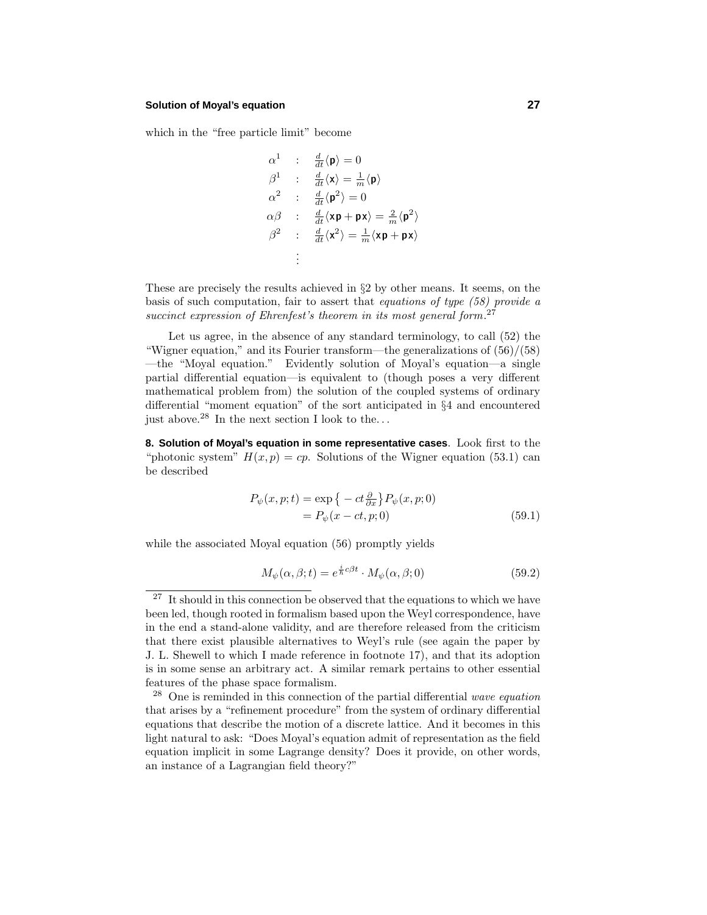#### **Solution of Moyal's equation 27**

which in the "free particle limit" become

$$
\alpha^{1} : \frac{d}{dt}\langle \mathbf{p} \rangle = 0
$$
\n
$$
\beta^{1} : \frac{d}{dt}\langle \mathbf{x} \rangle = \frac{1}{m}\langle \mathbf{p} \rangle
$$
\n
$$
\alpha^{2} : \frac{d}{dt}\langle \mathbf{p}^{2} \rangle = 0
$$
\n
$$
\alpha\beta : \frac{d}{dt}\langle \mathbf{x}\mathbf{p} + \mathbf{p}\mathbf{x} \rangle = \frac{2}{m}\langle \mathbf{p}^{2} \rangle
$$
\n
$$
\beta^{2} : \frac{d}{dt}\langle \mathbf{x}^{2} \rangle = \frac{1}{m}\langle \mathbf{x}\mathbf{p} + \mathbf{p}\mathbf{x} \rangle
$$
\n
$$
\vdots
$$

These are precisely the results achieved in §2 by other means. It seems, on the basis of such computation, fair to assert that equations of type (58) provide a succinct expression of Ehrenfest's theorem in its most general form.<sup>27</sup>

Let us agree, in the absence of any standard terminology, to call (52) the "Wigner equation," and its Fourier transform—the generalizations of  $(56)/(58)$ —the "Moyal equation." Evidently solution of Moyal's equation—a single partial differential equation—is equivalent to (though poses a very different mathematical problem from) the solution of the coupled systems of ordinary differential "moment equation" of the sort anticipated in §4 and encountered just above.<sup>28</sup> In the next section I look to the*...*

**8. Solution of Moyal's equation in some representative cases**. Look first to the "photonic system"  $H(x, p) = cp$ . Solutions of the Wigner equation (53.1) can be described

$$
P_{\psi}(x, p; t) = \exp\left\{-ct\frac{\partial}{\partial x}\right\} P_{\psi}(x, p; 0)
$$

$$
= P_{\psi}(x - ct, p; 0)
$$
(59.1)

while the associated Moyal equation (56) promptly yields

$$
M_{\psi}(\alpha, \beta; t) = e^{\frac{i}{\hbar}c\beta t} \cdot M_{\psi}(\alpha, \beta; 0)
$$
\n(59.2)

 $^{27}\,$  It should in this connection be observed that the equations to which we have been led, though rooted in formalism based upon the Weyl correspondence, have in the end a stand-alone validity, and are therefore released from the criticism that there exist plausible alternatives to Weyl's rule (see again the paper by J. L. Shewell to which I made reference in footnote 17), and that its adoption is in some sense an arbitrary act. A similar remark pertains to other essential features of the phase space formalism.

 $28$  One is reminded in this connection of the partial differential wave equation that arises by a "refinement procedure" from the system of ordinary differential equations that describe the motion of a discrete lattice. And it becomes in this light natural to ask: "Does Moyal's equation admit of representation as the field equation implicit in some Lagrange density? Does it provide, on other words, an instance of a Lagrangian field theory?"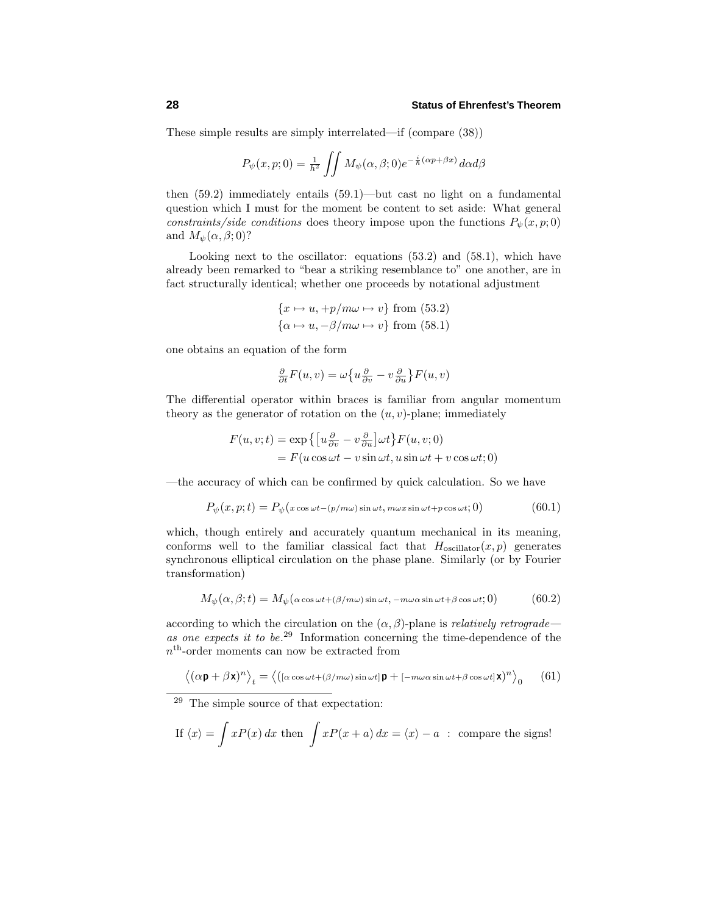These simple results are simply interrelated—if (compare (38))

$$
P_{\psi}(x, p; 0) = \frac{1}{h^2} \iint M_{\psi}(\alpha, \beta; 0) e^{-\frac{i}{\hbar}(\alpha p + \beta x)} d\alpha d\beta
$$

then (59.2) immediately entails (59.1)—but cast no light on a fundamental question which I must for the moment be content to set aside: What general constraints/side conditions does theory impose upon the functions  $P_{\psi}(x, p; 0)$ and  $M_{\psi}(\alpha, \beta; 0)$ ?

Looking next to the oscillator: equations  $(53.2)$  and  $(58.1)$ , which have already been remarked to "bear a striking resemblance to" one another, are in fact structurally identical; whether one proceeds by notational adjustment

$$
\{x \mapsto u, +p/m\omega \mapsto v\} \text{ from (53.2)}
$$

$$
\{\alpha \mapsto u, -\beta/m\omega \mapsto v\} \text{ from (58.1)}
$$

one obtains an equation of the form

$$
\frac{\partial}{\partial t}F(u,v) = \omega \left\{ u \frac{\partial}{\partial v} - v \frac{\partial}{\partial u} \right\} F(u,v)
$$

The differential operator within braces is familiar from angular momentum theory as the generator of rotation on the  $(u, v)$ -plane; immediately

$$
F(u, v; t) = \exp \{ [u \frac{\partial}{\partial v} - v \frac{\partial}{\partial u}] \omega t \} F(u, v; 0)
$$
  
=  $F(u \cos \omega t - v \sin \omega t, u \sin \omega t + v \cos \omega t; 0)$ 

—the accuracy of which can be confirmed by quick calculation. So we have

$$
P_{\psi}(x, p; t) = P_{\psi}(x \cos \omega t - (p/m\omega) \sin \omega t, m\omega x \sin \omega t + p \cos \omega t; 0)
$$
(60.1)

which, though entirely and accurately quantum mechanical in its meaning, conforms well to the familiar classical fact that  $H_{oscillator}(x, p)$  generates synchronous elliptical circulation on the phase plane. Similarly (or by Fourier transformation)

$$
M_{\psi}(\alpha,\beta;t) = M_{\psi}(\alpha\cos\omega t + (\beta/m\omega)\sin\omega t, -m\omega\alpha\sin\omega t + \beta\cos\omega t; 0)
$$
(60.2)

according to which the circulation on the  $(\alpha, \beta)$ -plane is *relatively retrograde* as one expects it to be.<sup>29</sup> Information concerning the time-dependence of the *n*th-order moments can now be extracted from

$$
\langle (\alpha \mathbf{p} + \beta \mathbf{x})^n \rangle_t = \langle ( [\alpha \cos \omega t + (\beta/m\omega) \sin \omega t] \mathbf{p} + [-m\omega \alpha \sin \omega t + \beta \cos \omega t] \mathbf{x} \rangle^n \rangle_0 \qquad (61)
$$

<sup>29</sup> The simple source of that expectation:

If 
$$
\langle x \rangle = \int xP(x) dx
$$
 then  $\int xP(x+a) dx = \langle x \rangle - a$ : compare the signs!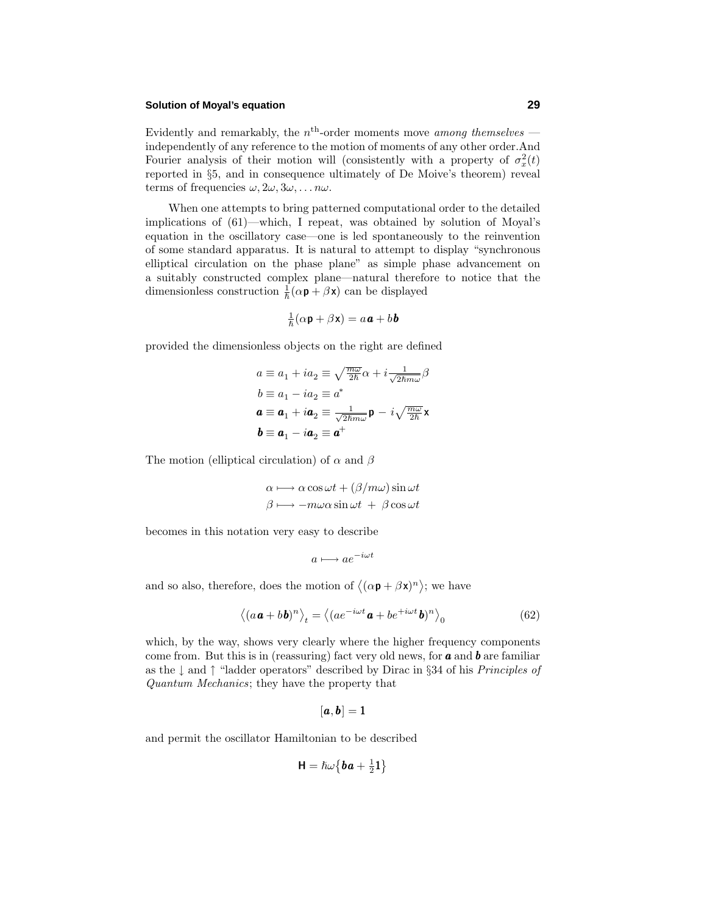#### **Solution of Moyal's equation 29**

Evidently and remarkably, the  $n<sup>th</sup>$ -order moments move *among themselves* independently of any reference to the motion of moments of any other order.And Fourier analysis of their motion will (consistently with a property of  $\sigma_x^2(t)$ reported in §5, and in consequence ultimately of De Moive's theorem) reveal terms of frequencies  $\omega$ ,  $2\omega$ ,  $3\omega$ , . . .  $n\omega$ .

When one attempts to bring patterned computational order to the detailed implications of (61)—which, I repeat, was obtained by solution of Moyal's equation in the oscillatory case—one is led spontaneously to the reinvention of some standard apparatus. It is natural to attempt to display "synchronous elliptical circulation on the phase plane" as simple phase advancement on a suitably constructed complex plane—natural therefore to notice that the dimensionless construction  $\frac{1}{\hbar}(\alpha \mathbf{p} + \beta \mathbf{x})$  can be displayed

$$
\frac{1}{\hbar}(\alpha \mathbf{p} + \beta \mathbf{x}) = a\mathbf{a} + b\mathbf{b}
$$

provided the dimensionless objects on the right are defined

$$
a \equiv a_1 + ia_2 \equiv \sqrt{\frac{m\omega}{2\hbar}}\alpha + i\frac{1}{\sqrt{2\hbar m\omega}}\beta
$$
  
\n
$$
b \equiv a_1 - ia_2 \equiv a^*
$$
  
\n
$$
\mathbf{a} \equiv \mathbf{a}_1 + i\mathbf{a}_2 \equiv \frac{1}{\sqrt{2\hbar m\omega}}\mathbf{p} - i\sqrt{\frac{m\omega}{2\hbar}}\mathbf{x}
$$
  
\n
$$
\mathbf{b} \equiv \mathbf{a}_1 - i\mathbf{a}_2 \equiv \mathbf{a}^+
$$

The motion (elliptical circulation) of *α* and *β*

$$
\alpha \longmapsto \alpha \cos \omega t + (\beta/m\omega) \sin \omega t \n\beta \longmapsto -m\omega \alpha \sin \omega t + \beta \cos \omega t
$$

becomes in this notation very easy to describe

$$
a \longmapsto ae^{-i\omega t}
$$

and so also, therefore, does the motion of  $\langle (\alpha \mathbf{p} + \beta \mathbf{x})^n \rangle$ ; we have

$$
\langle (a\mathbf{a} + b\mathbf{b})^n \rangle_t = \langle (ae^{-i\omega t}\mathbf{a} + be^{+i\omega t}\mathbf{b})^n \rangle_0 \tag{62}
$$

which, by the way, shows very clearly where the higher frequency components come from. But this is in (reassuring) fact very old news, for *a* and *b* are familiar as the  $\perp$  and  $\uparrow$  "ladder operators" described by Dirac in §34 of his *Principles of* Quantum Mechanics; they have the property that

$$
[\boldsymbol{a},\boldsymbol{b}]=1
$$

and permit the oscillator Hamiltonian to be described

$$
\textbf{H}=\hslash\omega\big\{\pmb{b}\pmb{a}+\tfrac{1}{2}\pmb{1}\big\}
$$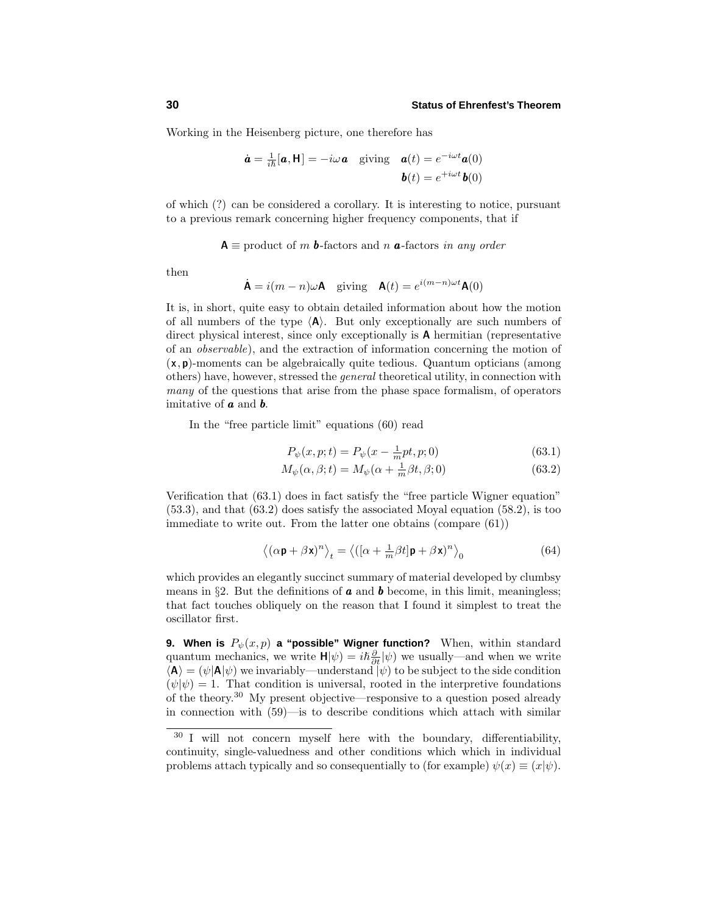Working in the Heisenberg picture, one therefore has

$$
\dot{\mathbf{a}} = \frac{1}{i\hbar}[\mathbf{a}, \mathbf{H}] = -i\omega \mathbf{a} \quad \text{giving} \quad \mathbf{a}(t) = e^{-i\omega t} \mathbf{a}(0)
$$

$$
\mathbf{b}(t) = e^{+i\omega t} \mathbf{b}(0)
$$

of which (?) can be considered a corollary. It is interesting to notice, pursuant to a previous remark concerning higher frequency components, that if

 $A \equiv$  product of *m* **b**-factors and *n* **a**-factors in any order

then

$$
\dot{\mathbf{A}} = i(m - n)\omega \mathbf{A} \quad \text{giving} \quad \mathbf{A}(t) = e^{i(m - n)\omega t} \mathbf{A}(0)
$$

It is, in short, quite easy to obtain detailed information about how the motion of all numbers of the type  $\langle A \rangle$ . But only exceptionally are such numbers of direct physical interest, since only exceptionally is **A** hermitian (representative of an observable), and the extraction of information concerning the motion of (**x***,* **p**)-moments can be algebraically quite tedious. Quantum opticians (among others) have, however, stressed the general theoretical utility, in connection with many of the questions that arise from the phase space formalism, of operators imitative of *a* and *b*.

In the "free particle limit" equations (60) read

$$
P_{\psi}(x, p; t) = P_{\psi}(x - \frac{1}{m}pt, p; 0)
$$
\n(63.1)

$$
M_{\psi}(\alpha, \beta; t) = M_{\psi}(\alpha + \frac{1}{m}\beta t, \beta; 0)
$$
\n(63.2)

Verification that (63.1) does in fact satisfy the "free particle Wigner equation" (53.3), and that (63.2) does satisfy the associated Moyal equation (58.2), is too immediate to write out. From the latter one obtains (compare (61))

$$
\left\langle (\alpha \mathbf{p} + \beta \mathbf{x})^n \right\rangle_t = \left\langle ([\alpha + \frac{1}{m} \beta t] \mathbf{p} + \beta \mathbf{x})^n \right\rangle_0 \tag{64}
$$

which provides an elegantly succinct summary of material developed by clumbsy means in  $\S2$ . But the definitions of **a** and **b** become, in this limit, meaningless; that fact touches obliquely on the reason that I found it simplest to treat the oscillator first.

**9. When is**  $P_{\psi}(x, p)$  **a "possible" Wigner function?** When, within standard quantum mechanics, we write  $H|\psi\rangle = i\hbar \frac{\partial}{\partial t}|\psi\rangle$  we usually—and when we write  $\langle A \rangle = (\psi | A | \psi)$  we invariably—understand  $|\psi\rangle$  to be subject to the side condition  $(\psi|\psi) = 1$ . That condition is universal, rooted in the interpretive foundations of the theory.<sup>30</sup> My present objective—responsive to a question posed already in connection with (59)—is to describe conditions which attach with similar

<sup>30</sup> I will not concern myself here with the boundary, differentiability, continuity, single-valuedness and other conditions which which in individual problems attach typically and so consequentially to (for example)  $\psi(x) \equiv (x|\psi)$ .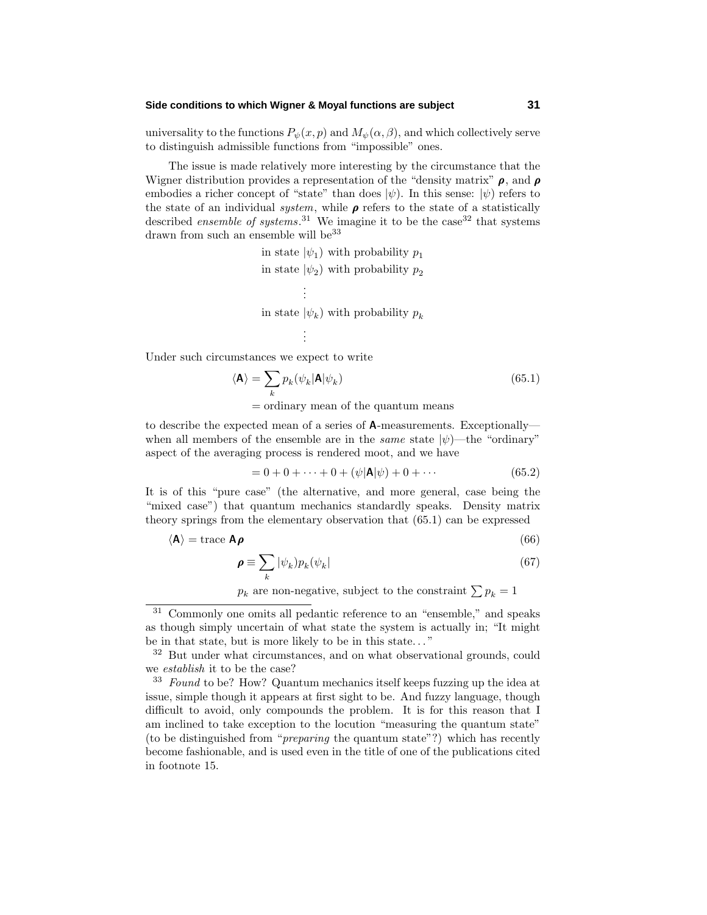#### **Side conditions to which Wigner & Moyal functions are subject 31**

universality to the functions  $P_{\psi}(x, p)$  and  $M_{\psi}(\alpha, \beta)$ , and which collectively serve to distinguish admissible functions from "impossible" ones.

The issue is made relatively more interesting by the circumstance that the Wigner distribution provides a representation of the "density matrix" *ρ*, and *ρ* embodies a richer concept of "state" than does  $|\psi\rangle$ . In this sense:  $|\psi\rangle$  refers to the state of an individual *system*, while  $\rho$  refers to the state of a statistically described *ensemble of systems*.<sup>31</sup> We imagine it to be the case<sup>32</sup> that systems drawn from such an ensemble will be  $33$ 

> in state  $|\psi_1\rangle$  with probability  $p_1$ in state  $|\psi_2\rangle$  with probability  $p_2$ . . . in state  $|\psi_k\rangle$  with probability  $p_k$ . . .

Under such circumstances we expect to write

$$
\langle \mathbf{A} \rangle = \sum_{k} p_k(\psi_k | \mathbf{A} | \psi_k)
$$
\n(65.1)

= ordinary mean of the quantum means

to describe the expected mean of a series of **A**-measurements. Exceptionally when all members of the ensemble are in the *same* state  $|\psi\rangle$ —the "ordinary" aspect of the averaging process is rendered moot, and we have

$$
= 0 + 0 + \dots + 0 + (\psi |A|\psi) + 0 + \dots \tag{65.2}
$$

It is of this "pure case" (the alternative, and more general, case being the "mixed case") that quantum mechanics standardly speaks. Density matrix theory springs from the elementary observation that (65.1) can be expressed

$$
\langle \mathbf{A} \rangle = \text{trace } \mathbf{A} \boldsymbol{\rho} \tag{66}
$$

$$
\rho \equiv \sum_{k} |\psi_{k}) p_{k} (\psi_{k}| \tag{67}
$$

 $p_k$  are non-negative, subject to the constraint  $\sum p_k = 1$ 

<sup>31</sup> Commonly one omits all pedantic reference to an "ensemble," and speaks as though simply uncertain of what state the system is actually in; "It might be in that state, but is more likely to be in this state*...* "

<sup>&</sup>lt;sup>32</sup> But under what circumstances, and on what observational grounds, could we establish it to be the case?

<sup>&</sup>lt;sup>33</sup> Found to be? How? Quantum mechanics itself keeps fuzzing up the idea at issue, simple though it appears at first sight to be. And fuzzy language, though difficult to avoid, only compounds the problem. It is for this reason that I am inclined to take exception to the locution "measuring the quantum state" (to be distinguished from "preparing the quantum state"?) which has recently become fashionable, and is used even in the title of one of the publications cited in footnote 15.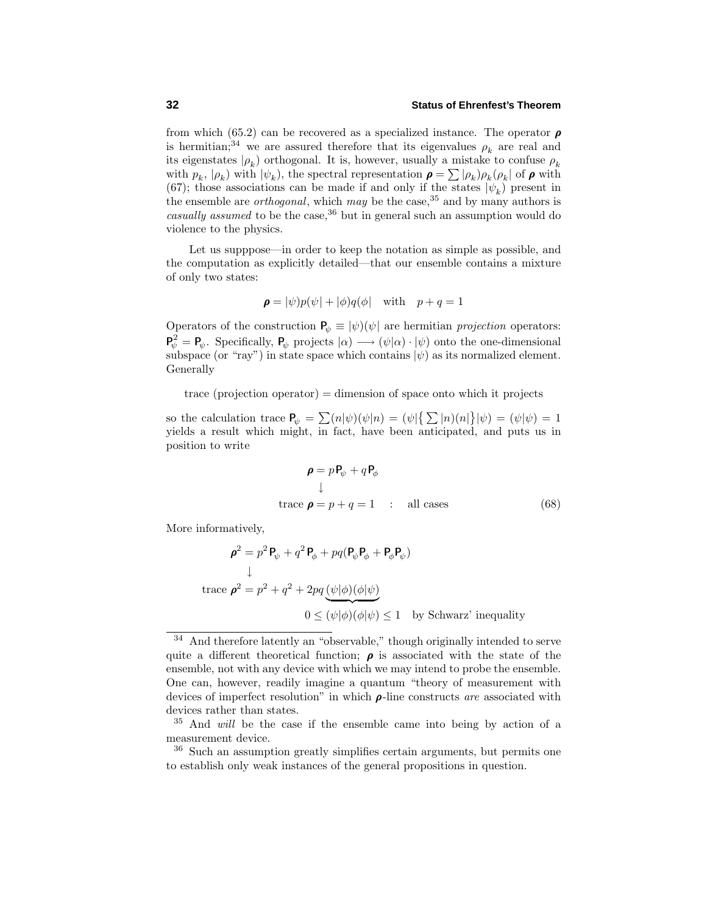from which (65.2) can be recovered as a specialized instance. The operator *ρ* is hermitian;<sup>34</sup> we are assured therefore that its eigenvalues  $\rho_k$  are real and its eigenstates  $|\rho_k\rangle$  orthogonal. It is, however, usually a mistake to confuse  $\rho_k$ with  $p_k$ ,  $|\rho_k|$  with  $|\psi_k|$ , the spectral representation  $\rho = \sum |\rho_k| \rho_k (\rho_k)$  of  $\rho$  with (67); those associations can be made if and only if the states  $|\psi_k\rangle$  present in the ensemble are *orthogonal*, which may be the case,  $35$  and by many authors is casually assumed to be the case,  $36$  but in general such an assumption would do violence to the physics.

Let us supppose—in order to keep the notation as simple as possible, and the computation as explicitly detailed—that our ensemble contains a mixture of only two states:

$$
\boldsymbol{\rho} = |\psi)p(\psi| + |\phi)q(\phi| \quad \text{with} \quad p + q = 1
$$

Operators of the construction  $P_{\psi} \equiv |\psi\rangle(\psi)$  are hermitian projection operators:  $P_{\psi}^2 = P_{\psi}$ . Specifically,  $P_{\psi}$  projects  $|\alpha) \longrightarrow (\psi|\alpha) \cdot |\psi)$  onto the one-dimensional subspace (or "ray") in state space which contains  $|\psi\rangle$  as its normalized element. Generally

 $trace (projection operator) = dimension of space onto which it projects$ 

so the calculation trace  $P_{\psi} = \sum_{n} (n|\psi)(\psi|n) = (\psi|\{\sum_{n} |n)(n|\}|\psi) = (\psi|\psi) = 1$ yields a result which might, in fact, have been anticipated, and puts us in position to write

$$
\rho = pP_{\psi} + qP_{\phi}
$$
  
\n
$$
\downarrow
$$
  
\ntrace  $\rho = p + q = 1$  : all cases (68)

More informatively,

$$
\rho^2 = p^2 \mathbf{P}_{\psi} + q^2 \mathbf{P}_{\phi} + pq(\mathbf{P}_{\psi} \mathbf{P}_{\phi} + \mathbf{P}_{\phi} \mathbf{P}_{\psi})
$$
\n
$$
\downarrow
$$
\ntrace  $\rho^2 = p^2 + q^2 + 2pq \underbrace{(\psi|\phi)(\phi|\psi)}_{0 \leq (\psi|\phi)(\phi|\psi)} \leq 1$  by Schwarz' inequality

And therefore latently an "observable," though originally intended to serve quite a different theoretical function;  $\rho$  is associated with the state of the ensemble, not with any device with which we may intend to probe the ensemble. One can, however, readily imagine a quantum "theory of measurement with devices of imperfect resolution" in which *ρ*-line constructs are associated with devices rather than states.

<sup>35</sup> And will be the case if the ensemble came into being by action of a measurement device.

<sup>36</sup> Such an assumption greatly simplifies certain arguments, but permits one to establish only weak instances of the general propositions in question.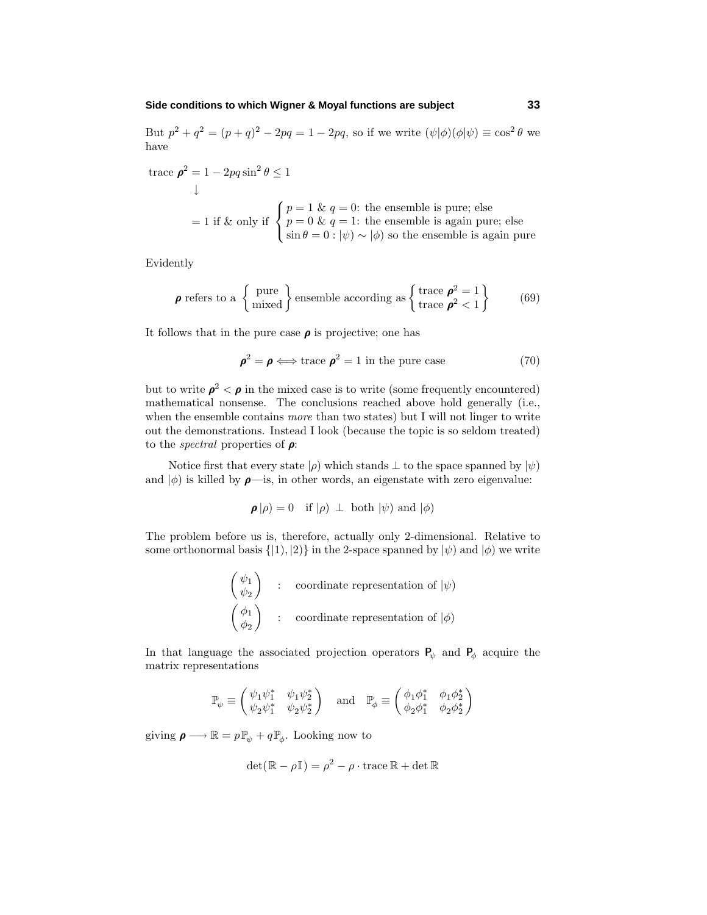#### **Side conditions to which Wigner & Moyal functions are subject 33**

But  $p^2 + q^2 = (p+q)^2 - 2pq = 1 - 2pq$ , so if we write  $(\psi | \phi)(\phi | \psi) \equiv \cos^2 \theta$  we have

trace 
$$
\rho^2 = 1 - 2pq \sin^2 \theta \le 1
$$
\n  
\n↓\n  
\n= 1 if & only if\n
$$
\begin{cases}\np = 1 & \text{if } q = 0: \text{ the ensemble is pure; else} \\
p = 0 & \text{if } q = 1: \text{ the ensemble is again pure; else} \\
\sin \theta = 0 : |\psi\rangle \sim |\phi\rangle \text{ so the ensemble is again pure.}\n\end{cases}
$$

Evidently

$$
\boldsymbol{\rho} \text{ refers to a } \left\{ \text{ pure} \atop \text{mixed} \right\} \text{ensemble according as } \left\{ \text{trace } \boldsymbol{\rho}^2 = 1 \atop \text{trace } \boldsymbol{\rho}^2 < 1 \right\} \tag{69}
$$

It follows that in the pure case  $\rho$  is projective; one has

$$
\rho^2 = \rho \Longleftrightarrow \text{trace } \rho^2 = 1 \text{ in the pure case}
$$
 (70)

but to write  $\rho^2 < \rho$  in the mixed case is to write (some frequently encountered) mathematical nonsense. The conclusions reached above hold generally (i.e., when the ensemble contains *more* than two states) but I will not linger to write out the demonstrations. Instead I look (because the topic is so seldom treated) to the spectral properties of *ρ*:

Notice first that every state  $|\rho\rangle$  which stands  $\perp$  to the space spanned by  $|\psi\rangle$ and  $|\phi\rangle$  is killed by  $\rho$ —is, in other words, an eigenstate with zero eigenvalue:

$$
\boldsymbol{\rho}|\rho) = 0
$$
 if  $|\rho) \perp$  both  $|\psi)$  and  $|\phi)$ 

The problem before us is, therefore, actually only 2-dimensional. Relative to some orthonormal basis  $\{|1\rangle, |2\rangle\}$  in the 2-space spanned by  $|\psi\rangle$  and  $|\phi\rangle$  we write

$$
\begin{pmatrix} \psi_1 \\ \psi_2 \end{pmatrix} : coordinate representation of  $|\psi\rangle$   

$$
\begin{pmatrix} \phi_1 \\ \phi_2 \end{pmatrix} : coordinate representation of  $|\phi\rangle$
$$
$$

In that language the associated projection operators  $P_\psi$  and  $P_\phi$  acquire the matrix representations

$$
\mathbb{P}_{\psi} \equiv \begin{pmatrix} \psi_1 \psi_1^* & \psi_1 \psi_2^* \\ \psi_2 \psi_1^* & \psi_2 \psi_2^* \end{pmatrix} \quad \text{and} \quad \mathbb{P}_{\phi} \equiv \begin{pmatrix} \phi_1 \phi_1^* & \phi_1 \phi_2^* \\ \phi_2 \phi_1^* & \phi_2 \phi_2^* \end{pmatrix}
$$

giving  $\rho \longrightarrow \mathbb{R} = p \mathbb{P}_{\psi} + q \mathbb{P}_{\phi}$ . Looking now to

$$
\det(\mathbb{R} - \rho \mathbb{I}) = \rho^2 - \rho \cdot \text{trace } \mathbb{R} + \det \mathbb{R}
$$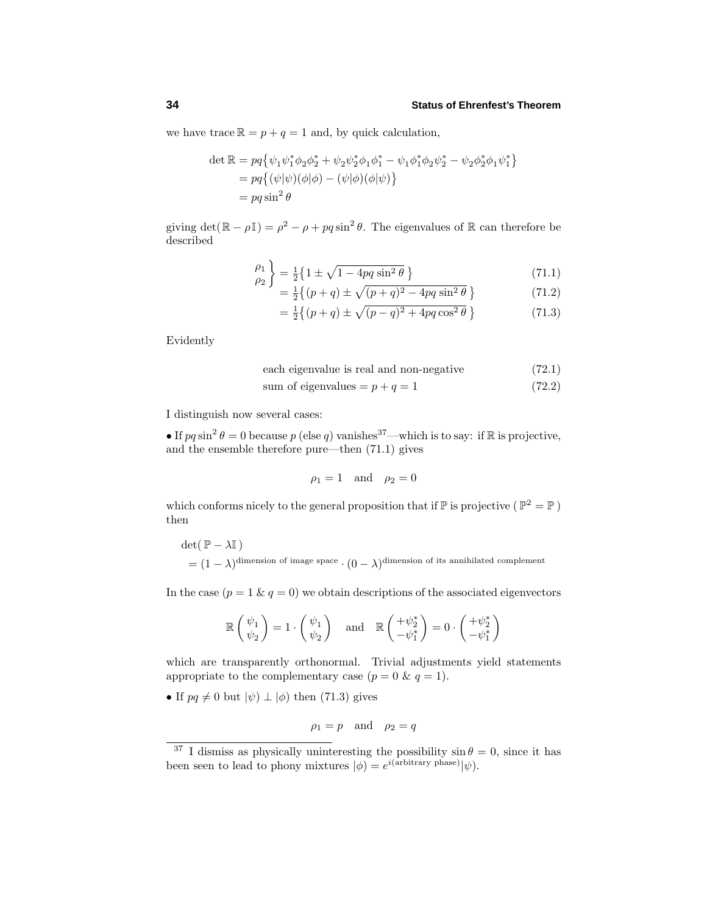we have trace  $\mathbb{R} = p + q = 1$  and, by quick calculation,

$$
\det \mathbb{R} = pq\{\psi_1\psi_1^*\phi_2\phi_2^* + \psi_2\psi_2^*\phi_1\phi_1^* - \psi_1\phi_1^*\phi_2\psi_2^* - \psi_2\phi_2^*\phi_1\psi_1^*\} = pq\{(\psi|\psi)(\phi|\phi) - (\psi|\phi)(\phi|\psi)\} = pq\sin^2\theta
$$

giving  $\det(\mathbb{R} - \rho \mathbb{I}) = \rho^2 - \rho + pq \sin^2 \theta$ . The eigenvalues of  $\mathbb{R}$  can therefore be described

$$
\begin{pmatrix} \rho_1 \\ \rho_2 \end{pmatrix} = \frac{1}{2} \left\{ 1 \pm \sqrt{1 - 4pq \sin^2 \theta} \right\} \tag{71.1}
$$

$$
= \frac{1}{2} \{ (p+q) \pm \sqrt{(p+q)^2 - 4pq \sin^2 \theta} \}
$$
 (71.2)

$$
= \frac{1}{2} \{ (p+q) \pm \sqrt{(p-q)^2 + 4pq \cos^2 \theta} \}
$$
 (71.3)

Evidently

each eigenvalue is real and non-negative 
$$
(72.1)
$$

sum of eigenvalues = 
$$
p + q = 1
$$
 (72.2)

I distinguish now several cases:

• If  $pq \sin^2 \theta = 0$  because  $p$  (else  $q$ ) vanishes<sup>37</sup>—which is to say: if R is projective, and the ensemble therefore pure—then (71.1) gives

$$
\rho_1 = 1 \quad \text{and} \quad \rho_2 = 0
$$

which conforms nicely to the general proposition that if  $\mathbb P$  is projective ( $\mathbb P^2 = \mathbb P$ ) then

 $\det(\mathbb{P} - \lambda \mathbb{I})$  $=(1 - \lambda)^{\text{dimension of image space}} \cdot (0 - \lambda)^{\text{dimension of its annihilated complement}}$ 

In the case  $(p = 1 \& q = 0)$  we obtain descriptions of the associated eigenvectors

$$
\mathbb{R}\left(\begin{array}{c}\psi_1\\\psi_2\end{array}\right)=1\cdot\left(\begin{array}{c}\psi_1\\\psi_2\end{array}\right)\quad\text{and}\quad\mathbb{R}\left(\begin{array}{c}+\psi_2^*\\-\psi_1^*\end{array}\right)=0\cdot\left(\begin{array}{c}+\psi_2^*\\-\psi_1^*\end{array}\right)
$$

which are transparently orthonormal. Trivial adjustments yield statements appropriate to the complementary case  $(p = 0 \& q = 1)$ .

• If  $pq \neq 0$  but  $|\psi\rangle \perp |\phi\rangle$  then (71.3) gives

$$
\rho_1 = p \quad \text{and} \quad \rho_2 = q
$$

<sup>&</sup>lt;sup>37</sup> I dismiss as physically uninteresting the possibility  $\sin \theta = 0$ , since it has been seen to lead to phony mixtures  $|\phi\rangle = e^{i(\text{arbitrary phase})}|\psi\rangle$ .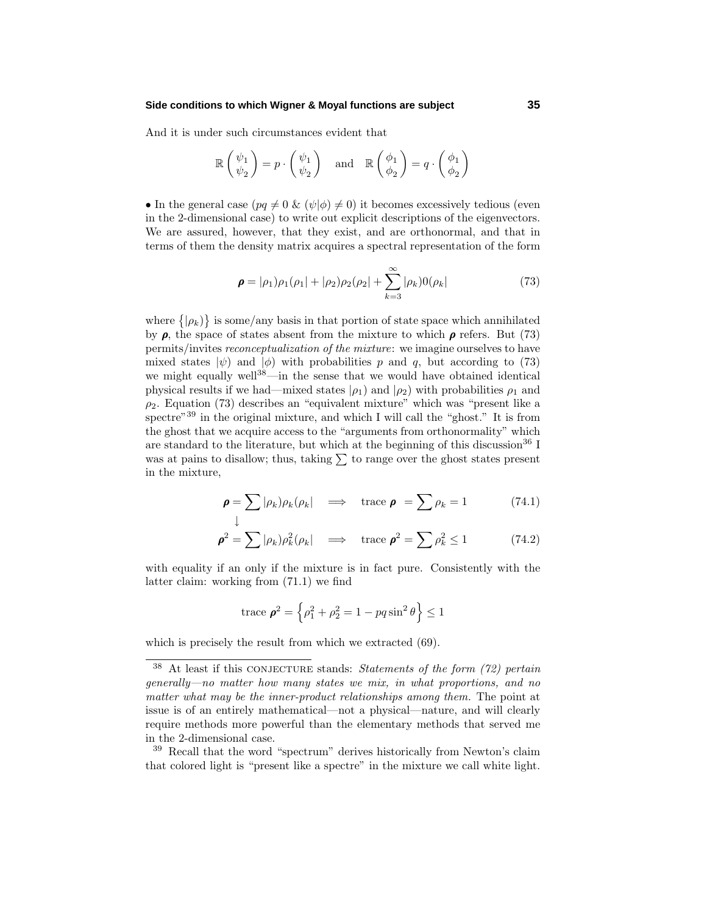#### **Side conditions to which Wigner & Moyal functions are subject 35**

And it is under such circumstances evident that

$$
\mathbb{R}\begin{pmatrix} \psi_1 \\ \psi_2 \end{pmatrix} = p \cdot \begin{pmatrix} \psi_1 \\ \psi_2 \end{pmatrix} \text{ and } \mathbb{R}\begin{pmatrix} \phi_1 \\ \phi_2 \end{pmatrix} = q \cdot \begin{pmatrix} \phi_1 \\ \phi_2 \end{pmatrix}
$$

• In the general case  $(pq \neq 0 \& (\psi|\phi) \neq 0)$  it becomes excessively tedious (even in the 2-dimensional case) to write out explicit descriptions of the eigenvectors. We are assured, however, that they exist, and are orthonormal, and that in terms of them the density matrix acquires a spectral representation of the form

$$
\boldsymbol{\rho} = |\rho_1\rangle \rho_1 (\rho_1| + |\rho_2\rangle \rho_2 (\rho_2| + \sum_{k=3}^{\infty} |\rho_k\rangle 0(\rho_k| \tag{73}
$$

where  $\{|\rho_k\rangle\}$  is some/any basis in that portion of state space which annihilated by  $\rho$ , the space of states absent from the mixture to which  $\rho$  refers. But (73) permits/invites reconceptualization of the mixture: we imagine ourselves to have mixed states  $|\psi\rangle$  and  $|\phi\rangle$  with probabilities p and q, but according to (73) we might equally well<sup>38</sup>—in the sense that we would have obtained identical physical results if we had—mixed states  $|\rho_1\rangle$  and  $|\rho_2\rangle$  with probabilities  $\rho_1$  and  $\rho_2$ . Equation (73) describes an "equivalent mixture" which was "present like a spectre<sup>"39</sup> in the original mixture, and which I will call the "ghost." It is from the ghost that we acquire access to the "arguments from orthonormality" which are standard to the literature, but which at the beginning of this discussion<sup>36</sup> I was at pains to disallow; thus, taking  $\sum$  to range over the ghost states present in the mixture,

$$
\boldsymbol{\rho} = \sum |\rho_k| \rho_k (\rho_k) \quad \Longrightarrow \quad \text{trace } \boldsymbol{\rho} = \sum \rho_k = 1 \tag{74.1}
$$

$$
\boldsymbol{\rho}^2 = \sum |\rho_k\rangle \rho_k^2 (\rho_k) \quad \Longrightarrow \quad \text{trace } \boldsymbol{\rho}^2 = \sum \rho_k^2 \le 1 \tag{74.2}
$$

with equality if an only if the mixture is in fact pure. Consistently with the latter claim: working from (71.1) we find

trace 
$$
\boldsymbol{\rho}^2 = \left\{ \rho_1^2 + \rho_2^2 = 1 - pq \sin^2 \theta \right\} \le 1
$$

which is precisely the result from which we extracted (69).

 $38$  At least if this CONJECTURE stands: Statements of the form (72) pertain generally—no matter how many states we mix, in what proportions, and no matter what may be the inner-product relationships among them. The point at issue is of an entirely mathematical—not a physical—nature, and will clearly require methods more powerful than the elementary methods that served me in the 2-dimensional case.

<sup>&</sup>lt;sup>39</sup> Recall that the word "spectrum" derives historically from Newton's claim that colored light is "present like a spectre" in the mixture we call white light.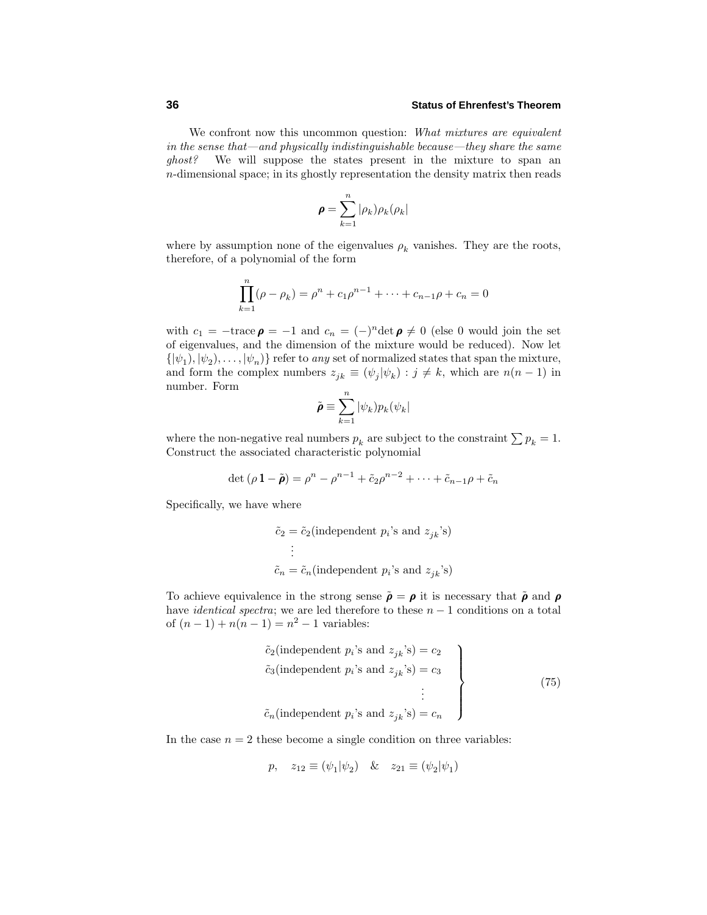We confront now this uncommon question: What mixtures are equivalent in the sense that—and physically indistinguishable because—they share the same ghost? We will suppose the states present in the mixture to span an *n*-dimensional space; in its ghostly representation the density matrix then reads

$$
\pmb{\rho} = \sum_{k=1}^n |\rho_k) \rho_k(\rho_k|
$$

where by assumption none of the eigenvalues  $\rho_k$  vanishes. They are the roots, therefore, of a polynomial of the form

$$
\prod_{k=1}^{n} (\rho - \rho_k) = \rho^n + c_1 \rho^{n-1} + \dots + c_{n-1} \rho + c_n = 0
$$

with  $c_1 = -\text{trace } \rho = -1$  and  $c_n = (-)^n \text{det } \rho \neq 0$  (else 0 would join the set of eigenvalues, and the dimension of the mixture would be reduced). Now let  $\{\ket{\psi_1}, \ket{\psi_2}, \ldots, \ket{\psi_n}\}$  refer to *any* set of normalized states that span the mixture, and form the complex numbers  $z_{jk} \equiv (\psi_j | \psi_k) : j \neq k$ , which are  $n(n-1)$  in number. Form

$$
\tilde{\pmb{\rho}}\equiv\sum_{k=1}^n|\psi_k)p_k(\psi_k|
$$

where the non-negative real numbers  $p_k$  are subject to the constraint  $\sum p_k = 1$ . Construct the associated characteristic polynomial

$$
\det (\rho \, 1 - \tilde{\pmb{\rho}}) = \rho^n - \rho^{n-1} + \tilde{c}_2 \rho^{n-2} + \cdots + \tilde{c}_{n-1} \rho + \tilde{c}_n
$$

Specifically, we have where

$$
\tilde{c}_2 = \tilde{c}_2
$$
(independent  $p_i$ 's and  $z_{jk}$ 's)  

$$
\vdots
$$
  

$$
\tilde{c}_n = \tilde{c}_n
$$
(independent  $p_i$ 's and  $z_{jk}$ 's)

To achieve equivalence in the strong sense  $\tilde{\rho} = \rho$  it is necessary that  $\tilde{\rho}$  and  $\rho$ have identical spectra; we are led therefore to these *n* − 1 conditions on a total of  $(n-1) + n(n-1) = n^2 - 1$  variables:

$$
\tilde{c}_2(\text{independent } p_i \text{'s and } z_{jk} \text{'s}) = c_2
$$
\n
$$
\tilde{c}_3(\text{independent } p_i \text{'s and } z_{jk} \text{'s}) = c_3
$$
\n
$$
\vdots
$$
\n
$$
\tilde{c}_n(\text{independent } p_i \text{'s and } z_{jk} \text{'s}) = c_n
$$
\n
$$
(75)
$$

In the case  $n = 2$  these become a single condition on three variables:

$$
p, \quad z_{12} \equiv (\psi_1 | \psi_2) \quad \& \quad z_{21} \equiv (\psi_2 | \psi_1)
$$